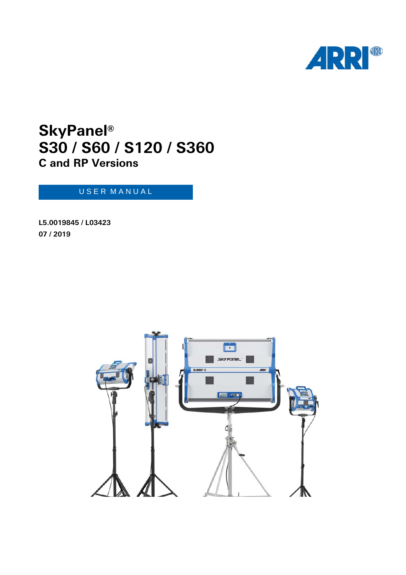

## **SkyPanel® C and RP Versions S30 / S60 / S120 / S360**

## U S E R M A N U A L

**L5.0019845 / L03423 07 / 2019**

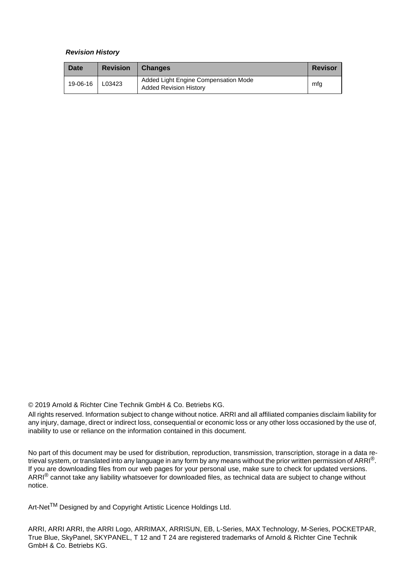#### *Revision History*

| Date     | <b>Revision</b> | <b>Changes</b>                                                        | <b>Revisor</b> |
|----------|-----------------|-----------------------------------------------------------------------|----------------|
| 19-06-16 | L03423          | Added Light Engine Compensation Mode<br><b>Added Revision History</b> | mfg            |

© 2019 Arnold & Richter Cine Technik GmbH & Co. Betriebs KG.

All rights reserved. Information subject to change without notice. ARRI and all affiliated companies disclaim liability for any injury, damage, direct or indirect loss, consequential or economic loss or any other loss occasioned by the use of, inability to use or reliance on the information contained in this document.

No part of this document may be used for distribution, reproduction, transmission, transcription, storage in a data retrieval system, or translated into any language in any form by any means without the prior written permission of ARRI<sup>®</sup>. If you are downloading files from our web pages for your personal use, make sure to check for updated versions. ARRI<sup>®</sup> cannot take any liability whatsoever for downloaded files, as technical data are subject to change without notice.

Art-Net<sup>TM</sup> Designed by and Copyright Artistic Licence Holdings Ltd.

ARRI, ARRI ARRI, the ARRI Logo, ARRIMAX, ARRISUN, EB, L-Series, MAX Technology, M-Series, POCKETPAR, True Blue, SkyPanel, SKYPANEL, T 12 and T 24 are registered trademarks of Arnold & Richter Cine Technik GmbH & Co. Betriebs KG.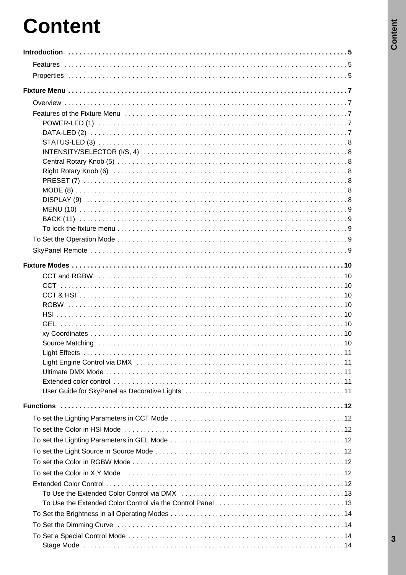# **Content**

| Source Matching (and the contract of the contract of the contract of the state of the state of the state of th |  |
|----------------------------------------------------------------------------------------------------------------|--|
|                                                                                                                |  |
|                                                                                                                |  |
|                                                                                                                |  |
|                                                                                                                |  |
|                                                                                                                |  |
|                                                                                                                |  |
|                                                                                                                |  |
|                                                                                                                |  |
|                                                                                                                |  |
|                                                                                                                |  |
|                                                                                                                |  |
|                                                                                                                |  |
|                                                                                                                |  |
|                                                                                                                |  |
|                                                                                                                |  |
|                                                                                                                |  |
|                                                                                                                |  |
|                                                                                                                |  |
|                                                                                                                |  |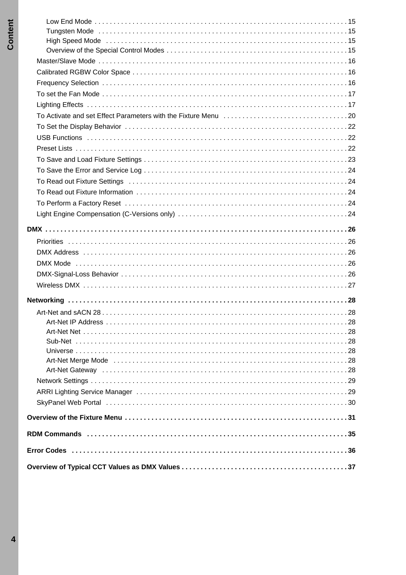| Art-Net Merge Mode National Contract of Article Contract Contract of Art-Net Merge Mode National Contract Oriented States (28 |  |
|-------------------------------------------------------------------------------------------------------------------------------|--|
|                                                                                                                               |  |
|                                                                                                                               |  |
|                                                                                                                               |  |
|                                                                                                                               |  |
|                                                                                                                               |  |
|                                                                                                                               |  |
|                                                                                                                               |  |
|                                                                                                                               |  |
|                                                                                                                               |  |
|                                                                                                                               |  |
|                                                                                                                               |  |
|                                                                                                                               |  |
|                                                                                                                               |  |
|                                                                                                                               |  |
|                                                                                                                               |  |
|                                                                                                                               |  |
|                                                                                                                               |  |
|                                                                                                                               |  |
|                                                                                                                               |  |
|                                                                                                                               |  |
|                                                                                                                               |  |
|                                                                                                                               |  |
|                                                                                                                               |  |
|                                                                                                                               |  |
|                                                                                                                               |  |
|                                                                                                                               |  |
|                                                                                                                               |  |
|                                                                                                                               |  |
|                                                                                                                               |  |
| High Speed Mode National Contract Control of the Medicine of High Speed Mode National Control of the Medicine S               |  |
|                                                                                                                               |  |
|                                                                                                                               |  |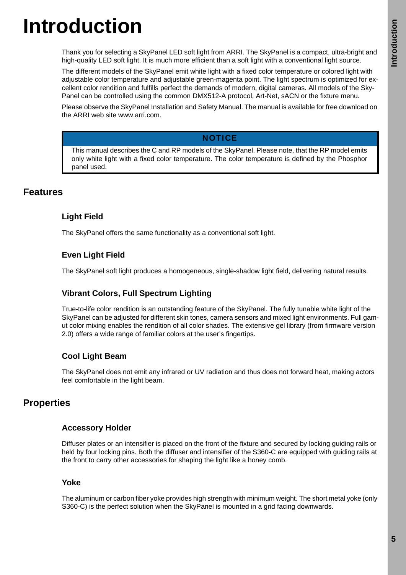# <span id="page-4-0"></span>**Introduction**

Thank you for selecting a SkyPanel LED soft light from ARRI. The SkyPanel is a compact, ultra-bright and high-quality LED soft light. It is much more efficient than a soft light with a conventional light source.

The different models of the SkyPanel emit white light with a fixed color temperature or colored light with adjustable color temperature and adjustable green-magenta point. The light spectrum is optimized for excellent color rendition and fulfills perfect the demands of modern, digital cameras. All models of the Sky-Panel can be controlled using the common DMX512-A protocol, Art-Net, sACN or the fixture menu.

Please observe the SkyPanel Installation and Safety Manual. The manual is available for free download on the ARRI web site www.arri.com.

#### **NOTICE**

This manual describes the C and RP models of the SkyPanel. Please note, that the RP model emits only white light with a fixed color temperature. The color temperature is defined by the Phosphor panel used.

## <span id="page-4-1"></span>**Features**

#### **Light Field**

The SkyPanel offers the same functionality as a conventional soft light.

#### **Even Light Field**

The SkyPanel soft light produces a homogeneous, single-shadow light field, delivering natural results.

## **Vibrant Colors, Full Spectrum Lighting**

True-to-life color rendition is an outstanding feature of the SkyPanel. The fully tunable white light of the SkyPanel can be adjusted for different skin tones, camera sensors and mixed light environments. Full gamut color mixing enables the rendition of all color shades. The extensive gel library (from firmware version 2.0) offers a wide range of familiar colors at the user's fingertips.

## **Cool Light Beam**

The SkyPanel does not emit any infrared or UV radiation and thus does not forward heat, making actors feel comfortable in the light beam.

## <span id="page-4-2"></span>**Properties**

#### **Accessory Holder**

Diffuser plates or an intensifier is placed on the front of the fixture and secured by locking guiding rails or held by four locking pins. Both the diffuser and intensifier of the S360-C are equipped with guiding rails at the front to carry other accessories for shaping the light like a honey comb.

#### **Yoke**

The aluminum or carbon fiber yoke provides high strength with minimum weight. The short metal yoke (only S360-C) is the perfect solution when the SkyPanel is mounted in a grid facing downwards.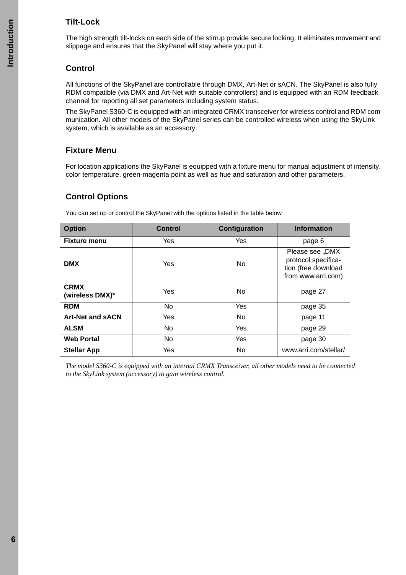## **Tilt-Lock**

The high strength tilt-locks on each side of the stirrup provide secure locking. It eliminates movement and slippage and ensures that the SkyPanel will stay where you put it.

## **Control**

All functions of the SkyPanel are controllable through DMX, Art-Net or sACN. The SkyPanel is also fully RDM compatible (via DMX and Art-Net with suitable controllers) and is equipped with an RDM feedback channel for reporting all set parameters including system status.

The SkyPanel S360-C is equipped with an integrated CRMX transceiver for wireless control and RDM communication. All other models of the SkyPanel series can be controlled wireless when using the SkyLink system, which is available as an accessory.

## **Fixture Menu**

For location applications the SkyPanel is equipped with a fixture menu for manual adjustment of intensity, color temperature, green-magenta point as well as hue and saturation and other parameters.

## **Control Options**

You can set up or control the SkyPanel with the options listed in the table below

| <b>Option</b>                  | <b>Control</b> | <b>Configuration</b> | <b>Information</b>                                                                  |
|--------------------------------|----------------|----------------------|-------------------------------------------------------------------------------------|
| <b>Fixture menu</b>            | Yes            | Yes                  | page 6                                                                              |
| <b>DMX</b>                     | Yes            | No                   | Please see "DMX<br>protocol specifica-<br>tion (free download<br>from www.arri.com) |
| <b>CRMX</b><br>(wireless DMX)* | Yes            | No                   | page 27                                                                             |
| <b>RDM</b>                     | N <sub>o</sub> | Yes                  | page 35                                                                             |
| <b>Art-Net and SACN</b>        | Yes            | No                   | page 11                                                                             |
| <b>ALSM</b>                    | <b>No</b>      | Yes                  | page 29                                                                             |
| <b>Web Portal</b>              | No             | Yes                  | page 30                                                                             |
| <b>Stellar App</b>             | Yes            | No                   | www.arri.com/stellar/                                                               |

<span id="page-5-0"></span>*The model S360-C is equipped with an internal CRMX Transceiver, all other models need to be connected to the SkyLink system (accessory) to gain wireless control.*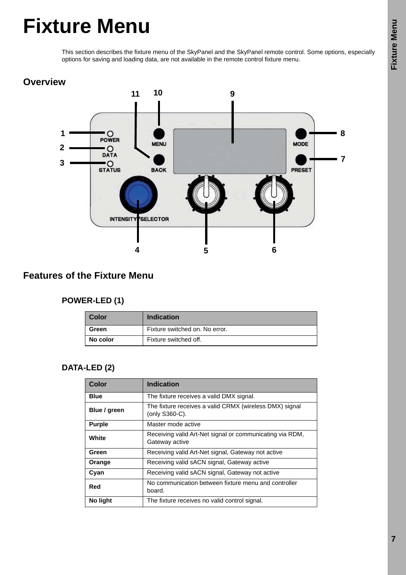## <span id="page-6-0"></span>**Fixture Menu**

This section describes the fixture menu of the SkyPanel and the SkyPanel remote control. Some options, especially options for saving and loading data, are not available in the remote control fixture menu.

## <span id="page-6-1"></span>**Overview**



## <span id="page-6-3"></span><span id="page-6-2"></span>**Features of the Fixture Menu**

## **POWER-LED (1)**

| <b>Color</b>                            | <b>Indication</b>     |  |
|-----------------------------------------|-----------------------|--|
| Fixture switched on. No error.<br>Green |                       |  |
| No color                                | Fixture switched off. |  |

## <span id="page-6-4"></span>**DATA-LED (2)**

| Color         | <b>Indication</b>                                                          |  |
|---------------|----------------------------------------------------------------------------|--|
| <b>Blue</b>   | The fixture receives a valid DMX signal.                                   |  |
| Blue / green  | The fixture receives a valid CRMX (wireless DMX) signal<br>(only S360-C).  |  |
| <b>Purple</b> | Master mode active                                                         |  |
| White         | Receiving valid Art-Net signal or communicating via RDM,<br>Gateway active |  |
| Green         | Receiving valid Art-Net signal, Gateway not active                         |  |
| Orange        | Receiving valid sACN signal, Gateway active                                |  |
| Cyan          | Receiving valid sACN signal, Gateway not active                            |  |
| Red           | No communication between fixture menu and controller<br>board.             |  |
| No light      | The fixture receives no valid control signal.                              |  |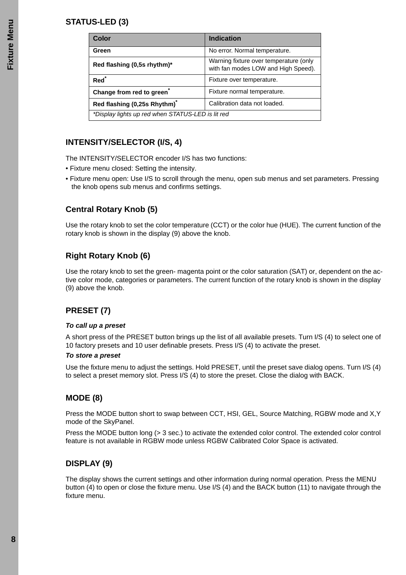## <span id="page-7-0"></span>**STATUS-LED (3)**

| Color                                             | <b>Indication</b>                                                             |  |
|---------------------------------------------------|-------------------------------------------------------------------------------|--|
| Green                                             | No error. Normal temperature.                                                 |  |
| Red flashing (0,5s rhythm)*                       | Warning fixture over temperature (only<br>with fan modes LOW and High Speed). |  |
| Red <sup>*</sup>                                  | Fixture over temperature.                                                     |  |
| Change from red to green                          | Fixture normal temperature.                                                   |  |
| Red flashing (0,25s Rhythm) <sup>*</sup>          | Calibration data not loaded.                                                  |  |
| *Display lights up red when STATUS-LED is lit red |                                                                               |  |

## <span id="page-7-1"></span>**INTENSITY/SELECTOR (I/S, 4)**

The INTENSITY/SELECTOR encoder I/S has two functions:

- Fixture menu closed: Setting the intensity.
- Fixture menu open: Use I/S to scroll through the menu, open sub menus and set parameters. Pressing the knob opens sub menus and confirms settings.

#### <span id="page-7-2"></span>**Central Rotary Knob (5)**

Use the rotary knob to set the color temperature (CCT) or the color hue (HUE). The current function of the rotary knob is shown in the display (9) above the knob.

## <span id="page-7-3"></span>**Right Rotary Knob (6)**

Use the rotary knob to set the green- magenta point or the color saturation (SAT) or, dependent on the active color mode, categories or parameters. The current function of the rotary knob is shown in the display (9) above the knob.

## <span id="page-7-4"></span>**PRESET (7)**

#### *To call up a preset*

A short press of the PRESET button brings up the list of all available presets. Turn I/S (4) to select one of 10 factory presets and 10 user definable presets. Press I/S (4) to activate the preset.

#### *To store a preset*

Use the fixture menu to adjust the settings. Hold PRESET, until the preset save dialog opens. Turn I/S (4) to select a preset memory slot. Press I/S (4) to store the preset. Close the dialog with BACK.

## <span id="page-7-5"></span>**MODE (8)**

Press the MODE button short to swap between CCT, HSI, GEL, Source Matching, RGBW mode and X,Y mode of the SkyPanel.

Press the MODE button long (> 3 sec.) to activate the extended color control. The extended color control feature is not available in RGBW mode unless RGBW Calibrated Color Space is activated.

## <span id="page-7-6"></span>**DISPLAY (9)**

The display shows the current settings and other information during normal operation. Press the MENU button (4) to open or close the fixture menu. Use I/S (4) and the BACK button (11) to navigate through the fixture menu.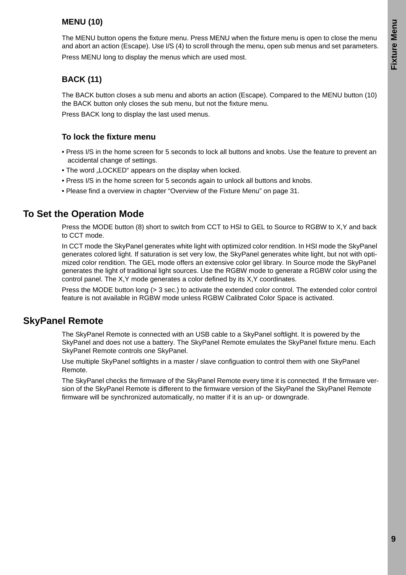## <span id="page-8-0"></span>**MENU (10)**

The MENU button opens the fixture menu. Press MENU when the fixture menu is open to close the menu and abort an action (Escape). Use I/S (4) to scroll through the menu, open sub menus and set parameters. Press MENU long to display the menus which are used most.

## <span id="page-8-1"></span>**BACK (11)**

The BACK button closes a sub menu and aborts an action (Escape). Compared to the MENU button (10) the BACK button only closes the sub menu, but not the fixture menu.

Press BACK long to display the last used menus.

#### <span id="page-8-2"></span>**To lock the fixture menu**

- Press I/S in the home screen for 5 seconds to lock all buttons and knobs. Use the feature to prevent an accidental change of settings.
- The word "LOCKED" appears on the display when locked.
- Press I/S in the home screen for 5 seconds again to unlock all buttons and knobs.
- Please find a overview in chapter ["Overview of the Fixture Menu" on page 31.](#page-30-0)

## <span id="page-8-3"></span>**To Set the Operation Mode**

Press the MODE button (8) short to switch from CCT to HSI to GEL to Source to RGBW to X,Y and back to CCT mode.

In CCT mode the SkyPanel generates white light with optimized color rendition. In HSI mode the SkyPanel generates colored light. If saturation is set very low, the SkyPanel generates white light, but not with optimized color rendition. The GEL mode offers an extensive color gel library. In Source mode the SkyPanel generates the light of traditional light sources. Use the RGBW mode to generate a RGBW color using the control panel. The X,Y mode generates a color defined by its X,Y coordinates.

Press the MODE button long (> 3 sec.) to activate the extended color control. The extended color control feature is not available in RGBW mode unless RGBW Calibrated Color Space is activated.

## <span id="page-8-4"></span>**SkyPanel Remote**

The SkyPanel Remote is connected with an USB cable to a SkyPanel softlight. It is powered by the SkyPanel and does not use a battery. The SkyPanel Remote emulates the SkyPanel fixture menu. Each SkyPanel Remote controls one SkyPanel.

Use multiple SkyPanel softlights in a master / slave configuation to control them with one SkyPanel Remote.

The SkyPanel checks the firmware of the SkyPanel Remote every time it is connected. If the firmware version of the SkyPanel Remote is different to the firmware version of the SkyPanel the SkyPanel Remote firmware will be synchronized automatically, no matter if it is an up- or downgrade.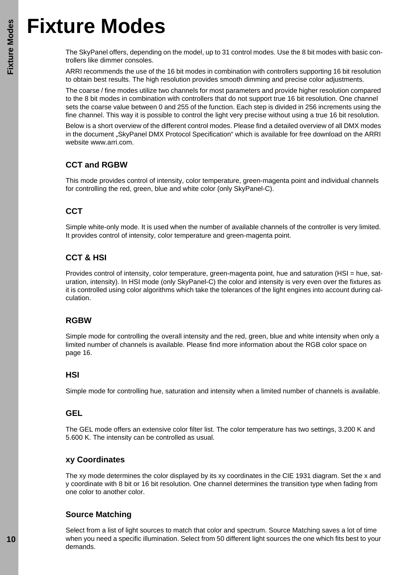## <span id="page-9-0"></span>**Fixture Modes**

The SkyPanel offers, depending on the model, up to 31 control modes. Use the 8 bit modes with basic controllers like dimmer consoles.

ARRI recommends the use of the 16 bit modes in combination with controllers supporting 16 bit resolution to obtain best results. The high resolution provides smooth dimming and precise color adjustments.

The coarse / fine modes utilize two channels for most parameters and provide higher resolution compared to the 8 bit modes in combination with controllers that do not support true 16 bit resolution. One channel sets the coarse value between 0 and 255 of the function. Each step is divided in 256 increments using the fine channel. This way it is possible to control the light very precise without using a true 16 bit resolution.

Below is a short overview of the different control modes. Please find a detailed overview of all DMX modes in the document "SkyPanel DMX Protocol Specification" which is available for free download on the ARRI website www.arri.com.

## <span id="page-9-1"></span>**CCT and RGBW**

This mode provides control of intensity, color temperature, green-magenta point and individual channels for controlling the red, green, blue and white color (only SkyPanel-C).

## <span id="page-9-2"></span>**CCT**

Simple white-only mode. It is used when the number of available channels of the controller is very limited. It provides control of intensity, color temperature and green-magenta point.

## <span id="page-9-3"></span>**CCT & HSI**

Provides control of intensity, color temperature, green-magenta point, hue and saturation (HSI = hue, saturation, intensity). In HSI mode (only SkyPanel-C) the color and intensity is very even over the fixtures as it is controlled using color algorithms which take the tolerances of the light engines into account during calculation.

## <span id="page-9-4"></span>**RGBW**

Simple mode for controlling the overall intensity and the red, green, blue and white intensity when only a limited number of channels is available. Please find more information about the RGB color space on [page 16.](#page-15-1)

#### <span id="page-9-5"></span>**HSI**

Simple mode for controlling hue, saturation and intensity when a limited number of channels is available.

#### <span id="page-9-6"></span>**GEL**

The GEL mode offers an extensive color filter list. The color temperature has two settings, 3.200 K and 5.600 K. The intensity can be controlled as usual.

#### <span id="page-9-7"></span>**xy Coordinates**

The xy mode determines the color displayed by its xy coordinates in the CIE 1931 diagram. Set the x and y coordinate with 8 bit or 16 bit resolution. One channel determines the transition type when fading from one color to another color.

## <span id="page-9-8"></span>**Source Matching**

Select from a list of light sources to match that color and spectrum. Source Matching saves a lot of time when you need a specific illumination. Select from 50 different light sources the one which fits best to your demands.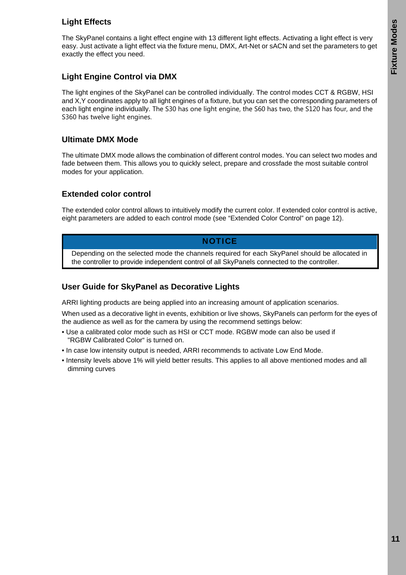## <span id="page-10-0"></span>**Light Effects**

The SkyPanel contains a light effect engine with 13 different light effects. Activating a light effect is very easy. Just activate a light effect via the fixture menu, DMX, Art-Net or sACN and set the parameters to get exactly the effect you need.

## <span id="page-10-1"></span>**Light Engine Control via DMX**

The light engines of the SkyPanel can be controlled individually. The control modes CCT & RGBW, HSI and X,Y coordinates apply to all light engines of a fixture, but you can set the corresponding parameters of each light engine individually. The S30 has one light engine, the S60 has two, the S120 has four, and the S360 has twelve light engines.

## <span id="page-10-2"></span>**Ultimate DMX Mode**

The ultimate DMX mode allows the combination of different control modes. You can select two modes and fade between them. This allows you to quickly select, prepare and crossfade the most suitable control modes for your application.

## <span id="page-10-3"></span>**Extended color control**

The extended color control allows to intuitively modify the current color. If extended color control is active, eight parameters are added to each control mode ([see "Extended Color Control" on page 12](#page-11-7)).

## **NOTICE**

Depending on the selected mode the channels required for each SkyPanel should be allocated in the controller to provide independent control of all SkyPanels connected to the controller.

## <span id="page-10-4"></span>**User Guide for SkyPanel as Decorative Lights**

ARRI lighting products are being applied into an increasing amount of application scenarios.

When used as a decorative light in events, exhibition or live shows, SkyPanels can perform for the eyes of the audience as well as for the camera by using the recommend settings below:

- Use a calibrated color mode such as HSI or CCT mode. RGBW mode can also be used if "RGBW Calibrated Color" is turned on.
- In case low intensity output is needed, ARRI recommends to activate Low End Mode.
- Intensity levels above 1% will yield better results. This applies to all above mentioned modes and all dimming curves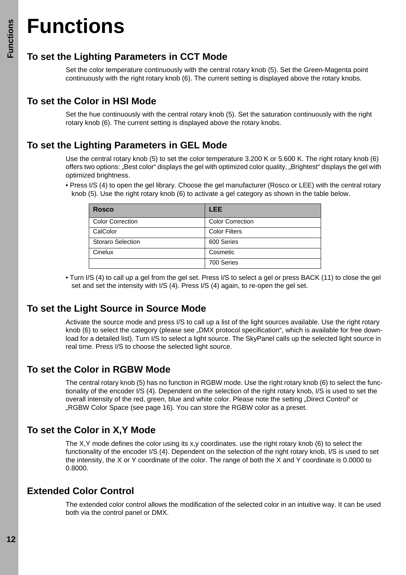## <span id="page-11-0"></span>**Functions**

## <span id="page-11-1"></span>**To set the Lighting Parameters in CCT Mode**

Set the color temperature continuously with the central rotary knob (5). Set the Green-Magenta point continuously with the right rotary knob (6). The current setting is displayed above the rotary knobs.

## <span id="page-11-2"></span>**To set the Color in HSI Mode**

Set the hue continuously with the central rotary knob (5). Set the saturation continuously with the right rotary knob (6). The current setting is displayed above the rotary knobs.

## <span id="page-11-3"></span>**To set the Lighting Parameters in GEL Mode**

Use the central rotary knob (5) to set the color temperature 3.200 K or 5.600 K. The right rotary knob (6) offers two options: "Best color" displays the gel with optimized color quality, "Brightest" displays the gel with optimized brightness.

• Press I/S (4) to open the gel library. Choose the gel manufacturer (Rosco or LEE) with the central rotary knob (5). Use the right rotary knob (6) to activate a gel category as shown in the table below.

| <b>Rosco</b>             | <b>LEE</b>              |
|--------------------------|-------------------------|
| <b>Color Correction</b>  | <b>Color Correction</b> |
| CalColor                 | <b>Color Filters</b>    |
| <b>Storaro Selection</b> | 600 Series              |
| Cinelux                  | Cosmetic                |
|                          | 700 Series              |

• Turn I/S (4) to call up a gel from the gel set. Press I/S to select a gel or press BACK (11) to close the gel set and set the intensity with I/S (4). Press I/S (4) again, to re-open the gel set.

## <span id="page-11-4"></span>**To set the Light Source in Source Mode**

Activate the source mode and press I/S to call up a list of the light sources available. Use the right rotary knob (6) to select the category (please see "DMX protocol specification", which is available for free download for a detailed list). Turn I/S to select a light source. The SkyPanel calls up the selected light source in real time. Press I/S to choose the selected light source.

## <span id="page-11-5"></span>**To set the Color in RGBW Mode**

The central rotary knob (5) has no function in RGBW mode. Use the right rotary knob (6) to select the functionality of the encoder I/S (4). Dependent on the selection of the right rotary knob, I/S is used to set the overall intensity of the red, green, blue and white color. Please note the setting "Direct Control" or "RGBW Color Space (see [page 16\)](#page-15-1). You can store the RGBW color as a preset.

## <span id="page-11-6"></span>**To set the Color in X,Y Mode**

The X,Y mode defines the color using its x,y coordinates. use the right rotary knob (6) to select the functionality of the encoder I/S (4). Dependent on the selection of the right rotary knob, I/S is used to set the intensity, the X or Y coordinate of the color. The range of both the X and Y coordinate is 0.0000 to 0.8000.

## <span id="page-11-7"></span>**Extended Color Control**

The extended color control allows the modification of the selected color in an intuitive way. It can be used both via the control panel or DMX.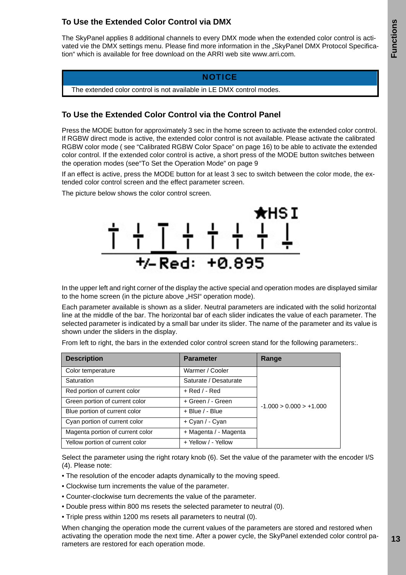## <span id="page-12-0"></span>**To Use the Extended Color Control via DMX**

The SkyPanel applies 8 additional channels to every DMX mode when the extended color control is activated vie the DMX settings menu. Please find more information in the "SkyPanel DMX Protocol Specification" which is available for free download on the ARRI web site www.arri.com.

#### **NOTICE**

The extended color control is not available in LE DMX control modes.

## <span id="page-12-1"></span>**To Use the Extended Color Control via the Control Panel**

Press the MODE button for approximately 3 sec in the home screen to activate the extended color control. If RGBW direct mode is active, the extended color control is not available. Please activate the calibrated RGBW color mode ( see ["Calibrated RGBW Color Space" on page 16\)](#page-15-1) to be able to activate the extended color control. If the extended color control is active, a short press of the MODE button switches between the operation modes (se[e"To Set the Operation Mode" on page 9](#page-8-3)

If an effect is active, press the MODE button for at least 3 sec to switch between the color mode, the extended color control screen and the effect parameter screen.

The picture below shows the color control screen.



In the upper left and right corner of the display the active special and operation modes are displayed similar to the home screen (in the picture above "HSI" operation mode).

Each parameter available is shown as a slider. Neutral parameters are indicated with the solid horizontal line at the middle of the bar. The horizontal bar of each slider indicates the value of each parameter. The selected parameter is indicated by a small bar under its slider. The name of the parameter and its value is shown under the sliders in the display.

From left to right, the bars in the extended color control screen stand for the following parameters:.

| <b>Description</b>               | <b>Parameter</b>      | Range                     |
|----------------------------------|-----------------------|---------------------------|
| Color temperature                | Warmer / Cooler       |                           |
| Saturation                       | Saturate / Desaturate |                           |
| Red portion of current color     | $+$ Red / - Red       |                           |
| Green portion of current color   | + Green / - Green     | $-1.000 > 0.000 > +1.000$ |
| Blue portion of current color    | $+$ Blue / - Blue     |                           |
| Cyan portion of current color    | + Cyan / - Cyan       |                           |
| Magenta portion of current color | + Magenta / - Magenta |                           |
| Yellow portion of current color  | + Yellow / - Yellow   |                           |

Select the parameter using the right rotary knob (6). Set the value of the parameter with the encoder I/S (4). Please note:

- The resolution of the encoder adapts dynamically to the moving speed.
- Clockwise turn increments the value of the parameter.
- Counter-clockwise turn decrements the value of the parameter.
- Double press within 800 ms resets the selected parameter to neutral (0).
- Triple press within 1200 ms resets all parameters to neutral (0).

When changing the operation mode the current values of the parameters are stored and restored when activating the operation mode the next time. After a power cycle, the SkyPanel extended color control parameters are restored for each operation mode.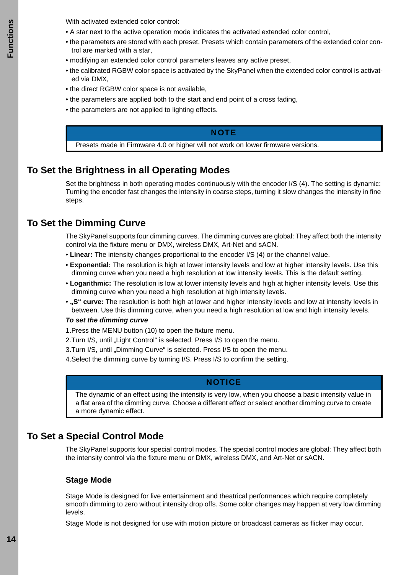**Functions** -unctions With activated extended color control:

- A star next to the active operation mode indicates the activated extended color control,
- the parameters are stored with each preset. Presets which contain parameters of the extended color control are marked with a star,
- modifying an extended color control parameters leaves any active preset,
- the calibrated RGBW color space is activated by the SkyPanel when the extended color control is activated via DMX,
- the direct RGBW color space is not available,
- the parameters are applied both to the start and end point of a cross fading,
- the parameters are not applied to lighting effects.

#### **NOTE**

Presets made in Firmware 4.0 or higher will not work on lower firmware versions.

## <span id="page-13-0"></span>**To Set the Brightness in all Operating Modes**

Set the brightness in both operating modes continuously with the encoder I/S (4). The setting is dynamic: Turning the encoder fast changes the intensity in coarse steps, turning it slow changes the intensity in fine steps.

## <span id="page-13-1"></span>**To Set the Dimming Curve**

The SkyPanel supports four dimming curves. The dimming curves are global: They affect both the intensity control via the fixture menu or DMX, wireless DMX, Art-Net and sACN.

- **Linear:** The intensity changes proportional to the encoder I/S (4) or the channel value.
- **Exponential:** The resolution is high at lower intensity levels and low at higher intensity levels. Use this dimming curve when you need a high resolution at low intensity levels. This is the default setting.
- **Logarithmic:** The resolution is low at lower intensity levels and high at higher intensity levels. Use this dimming curve when you need a high resolution at high intensity levels.
- **"S" curve:** The resolution is both high at lower and higher intensity levels and low at intensity levels in between. Use this dimming curve, when you need a high resolution at low and high intensity levels.

#### *To set the dimming curve*

- 1.Press the MENU button (10) to open the fixture menu.
- 2. Turn I/S, until "Light Control" is selected. Press I/S to open the menu.
- 3.Turn I/S, until "Dimming Curve" is selected. Press I/S to open the menu.
- 4.Select the dimming curve by turning I/S. Press I/S to confirm the setting.

#### **NOTICE**

The dynamic of an effect using the intensity is very low, when you choose a basic intensity value in a flat area of the dimming curve. Choose a different effect or select another dimming curve to create a more dynamic effect.

## <span id="page-13-2"></span>**To Set a Special Control Mode**

The SkyPanel supports four special control modes. The special control modes are global: They affect both the intensity control via the fixture menu or DMX, wireless DMX, and Art-Net or sACN.

#### <span id="page-13-3"></span>**Stage Mode**

Stage Mode is designed for live entertainment and theatrical performances which require completely smooth dimming to zero without intensity drop offs. Some color changes may happen at very low dimming levels.

Stage Mode is not designed for use with motion picture or broadcast cameras as flicker may occur.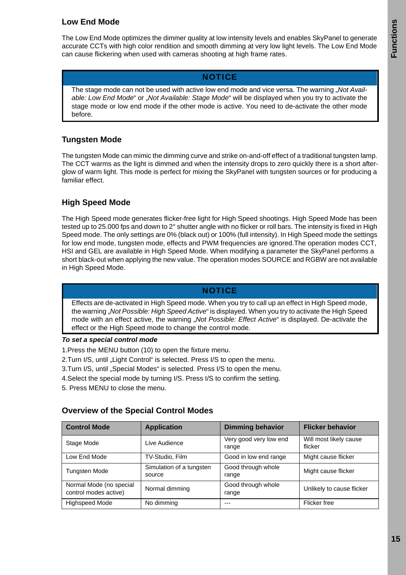## <span id="page-14-0"></span>**Low End Mode**

The Low End Mode optimizes the dimmer quality at low intensity levels and enables SkyPanel to generate accurate CCTs with high color rendition and smooth dimming at very low light levels. The Low End Mode can cause flickering when used with cameras shooting at high frame rates.

#### **NOTICE**

The stage mode can not be used with active low end mode and vice versa. The warning "*Not Available: Low End Mode*" or "*Not Available: Stage Mode*" will be displayed when you try to activate the stage mode or low end mode if the other mode is active. You need to de-activate the other mode before.

## <span id="page-14-1"></span>**Tungsten Mode**

The tungsten Mode can mimic the dimming curve and strike on-and-off effect of a traditional tungsten lamp. The CCT warms as the light is dimmed and when the intensity drops to zero quickly there is a short afterglow of warm light. This mode is perfect for mixing the SkyPanel with tungsten sources or for producing a familiar effect.

## <span id="page-14-2"></span>**High Speed Mode**

The High Speed mode generates flicker-free light for High Speed shootings. High Speed Mode has been tested up to 25.000 fps and down to 2° shutter angle with no flicker or roll bars. The intensity is fixed in High Speed mode. The only settings are 0% (black out) or 100% (full intensity). In High Speed mode the settings for low end mode, tungsten mode, effects and PWM frequencies are ignored.The operation modes CCT, HSI and GEL are available in High Speed Mode. When modifying a parameter the SkyPanel performs a short black-out when applying the new value. The operation modes SOURCE and RGBW are not available in High Speed Mode.

## **NOTICE**

Effects are de-activated in High Speed mode. When you try to call up an effect in High Speed mode, the warning "*Not Possible: High Speed Active*" is displayed. When you try to activate the High Speed mode with an effect active, the warning *"Not Possible: Effect Active*" is displayed. De-activate the effect or the High Speed mode to change the control mode.

#### *To set a special control mode*

- 1.Press the MENU button (10) to open the fixture menu.
- 2.Turn I/S, until "Light Control" is selected. Press I/S to open the menu.
- 3.Turn I/S, until "Special Modes" is selected. Press I/S to open the menu.
- 4.Select the special mode by turning I/S. Press I/S to confirm the setting.
- 5. Press MENU to close the menu.

#### <span id="page-14-3"></span>**Overview of the Special Control Modes**

| <b>Control Mode</b>                              | <b>Application</b>                 | <b>Dimming behavior</b>         | <b>Flicker behavior</b>           |
|--------------------------------------------------|------------------------------------|---------------------------------|-----------------------------------|
| Stage Mode                                       | Live Audience                      | Very good very low end<br>range | Will most likely cause<br>flicker |
| Low End Mode                                     | TV-Studio, Film                    | Good in low end range           | Might cause flicker               |
| <b>Tungsten Mode</b>                             | Simulation of a tungsten<br>source | Good through whole<br>range     | Might cause flicker               |
| Normal Mode (no special<br>control modes active) | Normal dimming                     | Good through whole<br>range     | Unlikely to cause flicker         |
| <b>Highspeed Mode</b>                            | No dimming                         | ---                             | Flicker free                      |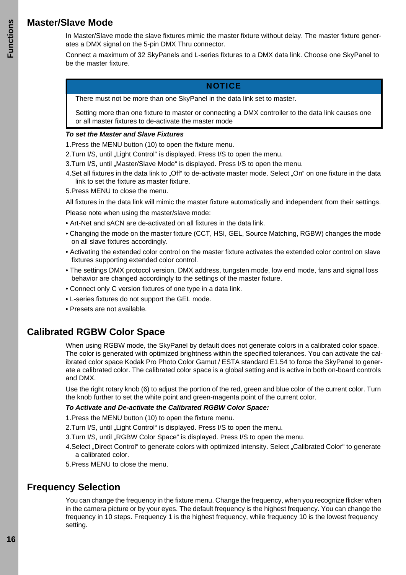## <span id="page-15-0"></span>**Master/Slave Mode**

In Master/Slave mode the slave fixtures mimic the master fixture without delay. The master fixture generates a DMX signal on the 5-pin DMX Thru connector.

Connect a maximum of 32 SkyPanels and L-series fixtures to a DMX data link. Choose one SkyPanel to be the master fixture.

#### **NOTICE**

There must not be more than one SkyPanel in the data link set to master.

Setting more than one fixture to master or connecting a DMX controller to the data link causes one or all master fixtures to de-activate the master mode

#### *To set the Master and Slave Fixtures*

1.Press the MENU button (10) to open the fixture menu.

- 2. Turn I/S, until "Light Control" is displayed. Press I/S to open the menu.
- 3.Turn I/S, until "Master/Slave Mode" is displayed. Press I/S to open the menu.
- 4. Set all fixtures in the data link to "Off" to de-activate master mode. Select "On" on one fixture in the data link to set the fixture as master fixture.
- 5.Press MENU to close the menu.

All fixtures in the data link will mimic the master fixture automatically and independent from their settings. Please note when using the master/slave mode:

- Art-Net and sACN are de-activated on all fixtures in the data link.
- Changing the mode on the master fixture (CCT, HSI, GEL, Source Matching, RGBW) changes the mode on all slave fixtures accordingly.
- Activating the extended color control on the master fixture activates the extended color control on slave fixtures supporting extended color control.
- The settings DMX protocol version, DMX address, tungsten mode, low end mode, fans and signal loss behavior are changed accordingly to the settings of the master fixture.
- Connect only C version fixtures of one type in a data link.
- L-series fixtures do not support the GEL mode.
- Presets are not available.

## <span id="page-15-1"></span>**Calibrated RGBW Color Space**

When using RGBW mode, the SkyPanel by default does not generate colors in a calibrated color space. The color is generated with optimized brightness within the specified tolerances. You can activate the calibrated color space Kodak Pro Photo Color Gamut / ESTA standard E1.54 to force the SkyPanel to generate a calibrated color. The calibrated color space is a global setting and is active in both on-board controls and DMX.

Use the right rotary knob (6) to adjust the portion of the red, green and blue color of the current color. Turn the knob further to set the white point and green-magenta point of the current color.

#### *To Activate and De-activate the Calibrated RGBW Color Space:*

1.Press the MENU button (10) to open the fixture menu.

- 2. Turn I/S, until "Light Control" is displayed. Press I/S to open the menu.
- 3. Turn I/S, until "RGBW Color Space" is displayed. Press I/S to open the menu.
- 4. Select "Direct Control" to generate colors with optimized intensity. Select "Calibrated Color" to generate a calibrated color.
- 5.Press MENU to close the menu.

## <span id="page-15-2"></span>**Frequency Selection**

You can change the frequency in the fixture menu. Change the frequency, when you recognize flicker when in the camera picture or by your eyes. The default frequency is the highest frequency. You can change the frequency in 10 steps. Frequency 1 is the highest frequency, while frequency 10 is the lowest frequency setting.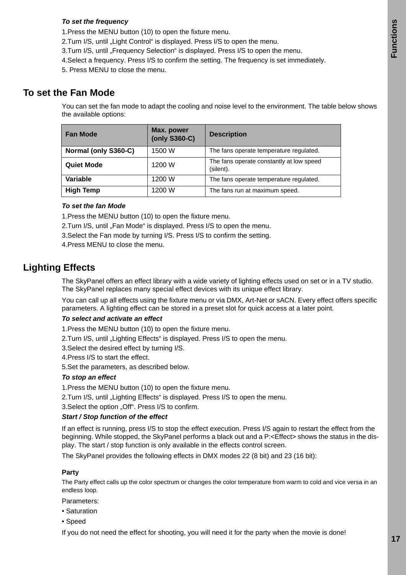#### *To set the frequency*

- 1.Press the MENU button (10) to open the fixture menu.
- 2.Turn I/S, until "Light Control" is displayed. Press I/S to open the menu.
- 3. Turn I/S, until "Frequency Selection" is displayed. Press I/S to open the menu.
- 4.Select a frequency. Press I/S to confirm the setting. The frequency is set immediately.
- 5. Press MENU to close the menu.

## <span id="page-16-0"></span>**To set the Fan Mode**

You can set the fan mode to adapt the cooling and noise level to the environment. The table below shows the available options:

| <b>Fan Mode</b>                | Max. power<br>(only S360-C) | <b>Description</b>                                    |  |
|--------------------------------|-----------------------------|-------------------------------------------------------|--|
| Normal (only S360-C)<br>1500 W |                             | The fans operate temperature regulated.               |  |
| <b>Quiet Mode</b>              | 1200 W                      | The fans operate constantly at low speed<br>(silent). |  |
| Variable<br>1200 W             |                             | The fans operate temperature regulated.               |  |
| <b>High Temp</b>               | 1200 W                      | The fans run at maximum speed.                        |  |

#### *To set the fan Mode*

1.Press the MENU button (10) to open the fixture menu.

- 2. Turn I/S, until "Fan Mode" is displayed. Press I/S to open the menu.
- 3.Select the Fan mode by turning I/S. Press I/S to confirm the setting.
- 4.Press MENU to close the menu.

## <span id="page-16-1"></span>**Lighting Effects**

The SkyPanel offers an effect library with a wide variety of lighting effects used on set or in a TV studio. The SkyPanel replaces many special effect devices with its unique effect library.

You can call up all effects using the fixture menu or via DMX, Art-Net or sACN. Every effect offers specific parameters. A lighting effect can be stored in a preset slot for quick access at a later point.

#### *To select and activate an effect*

1.Press the MENU button (10) to open the fixture menu.

2. Turn I/S, until "Lighting Effects" is displayed. Press I/S to open the menu.

3.Select the desired effect by turning I/S.

- 4.Press I/S to start the effect.
- 5.Set the parameters, as described below.

#### *To stop an effect*

- 1.Press the MENU button (10) to open the fixture menu.
- 2. Turn I/S, until "Lighting Effects" is displayed. Press I/S to open the menu.
- 3. Select the option "Off". Press I/S to confirm.

#### *Start / Stop function of the effect*

If an effect is running, press I/S to stop the effect execution. Press I/S again to restart the effect from the beginning. While stopped, the SkyPanel performs a black out and a P:<Effect> shows the status in the display. The start / stop function is only available in the effects control screen.

The SkyPanel provides the following effects in DMX modes 22 (8 bit) and 23 (16 bit):

#### **Party**

The Party effect calls up the color spectrum or changes the color temperature from warm to cold and vice versa in an endless loop.

Parameters:

- Saturation
- Speed

If you do not need the effect for shooting, you will need it for the party when the movie is done!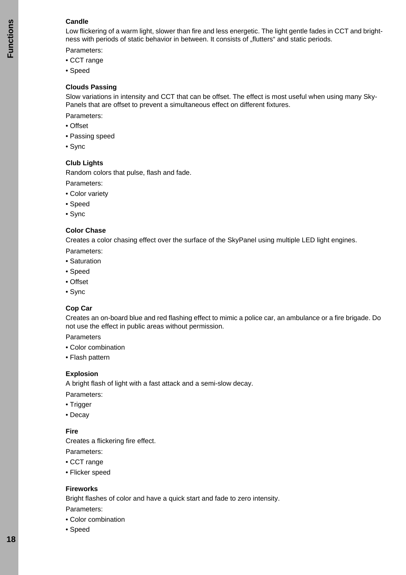#### **Candle**

Low flickering of a warm light, slower than fire and less energetic. The light gentle fades in CCT and brightness with periods of static behavior in between. It consists of "flutters" and static periods.

Parameters:

- CCT range
- Speed

#### **Clouds Passing**

Slow variations in intensity and CCT that can be offset. The effect is most useful when using many Sky-Panels that are offset to prevent a simultaneous effect on different fixtures.

Parameters:

- Offset
- Passing speed
- Sync

#### **Club Lights**

Random colors that pulse, flash and fade.

Parameters:

- Color variety
- Speed
- Sync

#### **Color Chase**

Creates a color chasing effect over the surface of the SkyPanel using multiple LED light engines.

- Parameters:
- Saturation
- Speed
- Offset
- Sync

#### **Cop Car**

Creates an on-board blue and red flashing effect to mimic a police car, an ambulance or a fire brigade. Do not use the effect in public areas without permission.

Parameters

- Color combination
- Flash pattern

#### **Explosion**

A bright flash of light with a fast attack and a semi-slow decay.

Parameters:

- Trigger
- Decay

#### **Fire**

Creates a flickering fire effect.

Parameters:

- CCT range
- Flicker speed

#### **Fireworks**

Bright flashes of color and have a quick start and fade to zero intensity.

Parameters:

- Color combination
- Speed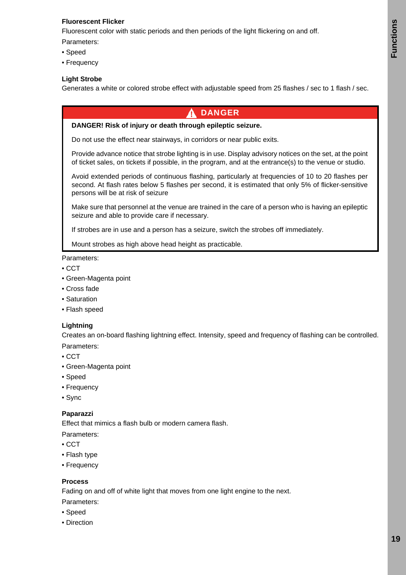#### **Fluorescent Flicker**

Fluorescent color with static periods and then periods of the light flickering on and off.

Parameters:

- Speed
- Frequency

#### **Light Strobe**

Generates a white or colored strobe effect with adjustable speed from 25 flashes / sec to 1 flash / sec.

### DANGER

#### **DANGER! Risk of injury or death through epileptic seizure.**

Do not use the effect near stairways, in corridors or near public exits.

Provide advance notice that strobe lighting is in use. Display advisory notices on the set, at the point of ticket sales, on tickets if possible, in the program, and at the entrance(s) to the venue or studio.

Avoid extended periods of continuous flashing, particularly at frequencies of 10 to 20 flashes per second. At flash rates below 5 flashes per second, it is estimated that only 5% of flicker-sensitive persons will be at risk of seizure

Make sure that personnel at the venue are trained in the care of a person who is having an epileptic seizure and able to provide care if necessary.

If strobes are in use and a person has a seizure, switch the strobes off immediately.

Mount strobes as high above head height as practicable.

Parameters:

- CCT
- Green-Magenta point
- Cross fade
- Saturation
- Flash speed

#### **Lightning**

Creates an on-board flashing lightning effect. Intensity, speed and frequency of flashing can be controlled.

- Parameters:
- CCT
- Green-Magenta point
- Speed
- Frequency
- Sync

#### **Paparazzi**

Effect that mimics a flash bulb or modern camera flash.

Parameters:

- CCT
- Flash type
- Frequency

#### **Process**

Fading on and off of white light that moves from one light engine to the next.

- Parameters:
- Speed
- Direction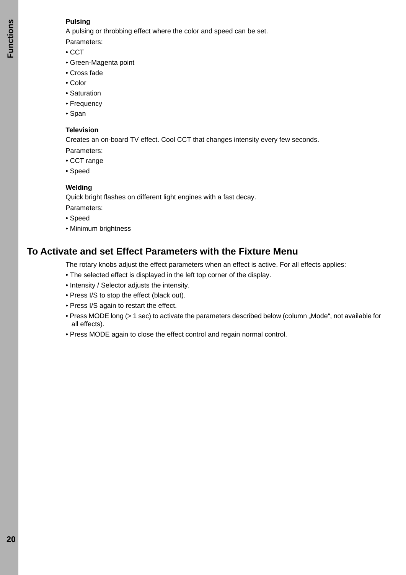#### **Pulsing**

A pulsing or throbbing effect where the color and speed can be set.

Parameters:

- CCT
- Green-Magenta point
- Cross fade
- Color
- Saturation
- Frequency
- Span

#### **Television**

Creates an on-board TV effect. Cool CCT that changes intensity every few seconds.

Parameters:

- CCT range
- Speed

#### **Welding**

Quick bright flashes on different light engines with a fast decay.

Parameters:

- Speed
- Minimum brightness

## <span id="page-19-0"></span>**To Activate and set Effect Parameters with the Fixture Menu**

The rotary knobs adjust the effect parameters when an effect is active. For all effects applies:

- The selected effect is displayed in the left top corner of the display.
- Intensity / Selector adjusts the intensity.
- Press I/S to stop the effect (black out).
- Press I/S again to restart the effect.
- Press MODE long (> 1 sec) to activate the parameters described below (column "Mode", not available for all effects).
- Press MODE again to close the effect control and regain normal control.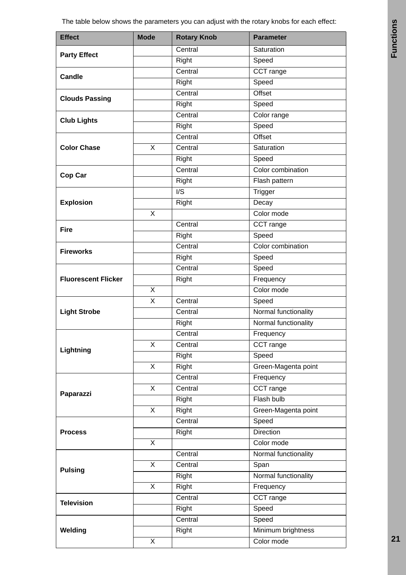| <b>Effect</b>              | <b>Mode</b>             | <b>Rotary Knob</b> | <b>Parameter</b>             |
|----------------------------|-------------------------|--------------------|------------------------------|
| <b>Party Effect</b>        |                         | Central            | Saturation                   |
|                            |                         | Right              | Speed                        |
| <b>Candle</b>              |                         | Central            | CCT range                    |
|                            |                         | Right              | Speed                        |
| <b>Clouds Passing</b>      |                         | Central            | Offset                       |
|                            |                         | Right              | Speed                        |
| <b>Club Lights</b>         |                         | Central            | Color range                  |
|                            |                         | Right              | Speed                        |
|                            |                         | Central            | Offset                       |
| <b>Color Chase</b>         | X                       | Central            | Saturation                   |
|                            |                         | Right              | Speed                        |
| Cop Car                    |                         | Central            | Color combination            |
|                            |                         | Right              | Flash pattern                |
|                            |                         | $\mathsf{I/S}\$    | Trigger                      |
| <b>Explosion</b>           |                         | Right              | Decay                        |
|                            | $\overline{\mathsf{x}}$ |                    | Color mode                   |
| <b>Fire</b>                |                         | Central            | CCT range                    |
|                            |                         | Right              | Speed                        |
| <b>Fireworks</b>           |                         | Central            | Color combination            |
|                            |                         | Right              | Speed                        |
|                            |                         | Central            | Speed                        |
| <b>Fluorescent Flicker</b> |                         | Right              | Frequency                    |
|                            | X                       |                    | Color mode                   |
|                            | X                       | Central            | Speed                        |
| <b>Light Strobe</b>        |                         | Central            | Normal functionality         |
|                            |                         | Right              | Normal functionality         |
|                            |                         | Central            | Frequency                    |
| Lightning                  | $\overline{\mathsf{x}}$ | Central            | CCT range                    |
|                            |                         | Right              | Speed                        |
|                            | X                       | Right              | Green-Magenta point          |
|                            |                         | Central            | Frequency                    |
| Paparazzi                  | X                       | Central            | CCT range                    |
|                            | $\overline{\mathsf{x}}$ | Right              | Flash bulb                   |
|                            |                         | Right<br>Central   | Green-Magenta point          |
|                            |                         |                    | Speed<br>Direction           |
| <b>Process</b>             | $\overline{\mathsf{x}}$ | Right              | Color mode                   |
|                            |                         | Central            | Normal functionality         |
|                            | X.                      | Central            |                              |
| <b>Pulsing</b>             |                         | Right              | Span<br>Normal functionality |
|                            | X                       | Right              | Frequency                    |
|                            |                         | Central            | CCT range                    |
| <b>Television</b>          |                         | Right              | Speed                        |
|                            |                         | Central            | Speed                        |
| Welding                    |                         |                    | Minimum brightness           |
|                            | X                       | Right              | Color mode                   |
|                            |                         |                    |                              |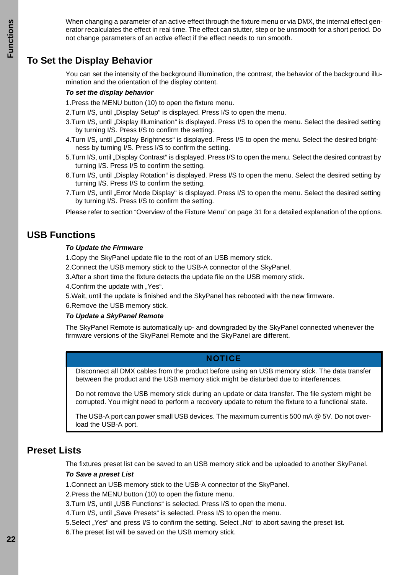When changing a parameter of an active effect through the fixture menu or via DMX, the internal effect generator recalculates the effect in real time. The effect can stutter, step or be unsmooth for a short period. Do not change parameters of an active effect if the effect needs to run smooth.

## <span id="page-21-0"></span>**To Set the Display Behavior**

You can set the intensity of the background illumination, the contrast, the behavior of the background illumination and the orientation of the display content.

#### *To set the display behavior*

1.Press the MENU button (10) to open the fixture menu.

2.Turn I/S, until "Display Setup" is displayed. Press I/S to open the menu.

- 3. Turn I/S, until "Display Illumination" is displayed. Press I/S to open the menu. Select the desired setting by turning I/S. Press I/S to confirm the setting.
- 4. Turn I/S, until . Display Brightness" is displayed. Press I/S to open the menu. Select the desired brightness by turning I/S. Press I/S to confirm the setting.
- 5. Turn I/S, until "Display Contrast" is displayed. Press I/S to open the menu. Select the desired contrast by turning I/S. Press I/S to confirm the setting.
- 6.Turn I/S, until "Display Rotation" is displayed. Press I/S to open the menu. Select the desired setting by turning I/S. Press I/S to confirm the setting.
- 7. Turn I/S, until "Error Mode Display" is displayed. Press I/S to open the menu. Select the desired setting by turning I/S. Press I/S to confirm the setting.

Please refer to section ["Overview of the Fixture Menu" on page 31](#page-30-0) for a detailed explanation of the options.

## <span id="page-21-1"></span>**USB Functions**

#### *To Update the Firmware*

- 1.Copy the SkyPanel update file to the root of an USB memory stick.
- 2.Connect the USB memory stick to the USB-A connector of the SkyPanel.
- 3.After a short time the fixture detects the update file on the USB memory stick.
- 4. Confirm the update with "Yes".
- 5.Wait, until the update is finished and the SkyPanel has rebooted with the new firmware.
- 6.Remove the USB memory stick.

#### *To Update a SkyPanel Remote*

The SkyPanel Remote is automatically up- and downgraded by the SkyPanel connected whenever the firmware versions of the SkyPanel Remote and the SkyPanel are different.

#### **NOTICE**

Disconnect all DMX cables from the product before using an USB memory stick. The data transfer between the product and the USB memory stick might be disturbed due to interferences.

Do not remove the USB memory stick during an update or data transfer. The file system might be corrupted. You might need to perform a recovery update to return the fixture to a functional state.

The USB-A port can power small USB devices. The maximum current is 500 mA @ 5V. Do not overload the USB-A port.

## <span id="page-21-2"></span>**Preset Lists**

The fixtures preset list can be saved to an USB memory stick and be uploaded to another SkyPanel.

#### *To Save a preset List*

1.Connect an USB memory stick to the USB-A connector of the SkyPanel.

2.Press the MENU button (10) to open the fixture menu.

3.Turn I/S, until "USB Functions" is selected. Press I/S to open the menu.

4. Turn I/S, until "Save Presets" is selected. Press I/S to open the menu.

5. Select "Yes" and press I/S to confirm the setting. Select "No" to abort saving the preset list.

6.The preset list will be saved on the USB memory stick.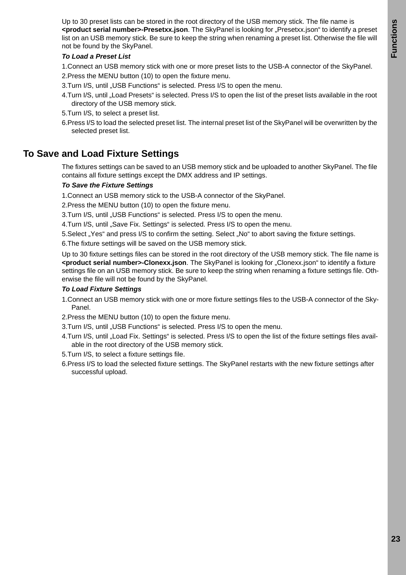Up to 30 preset lists can be stored in the root directory of the USB memory stick. The file name is **<product serial number>-Presetxx.json**. The SkyPanel is looking for "Presetxx.json" to identify a preset list on an USB memory stick. Be sure to keep the string when renaming a preset list. Otherwise the file will not be found by the SkyPanel.

#### *To Load a Preset List*

- 1.Connect an USB memory stick with one or more preset lists to the USB-A connector of the SkyPanel.
- 2.Press the MENU button (10) to open the fixture menu.
- 3.Turn I/S, until "USB Functions" is selected. Press I/S to open the menu.
- 4. Turn I/S, until "Load Presets" is selected. Press I/S to open the list of the preset lists available in the root directory of the USB memory stick.
- 5.Turn I/S, to select a preset list.
- 6.Press I/S to load the selected preset list. The internal preset list of the SkyPanel will be overwritten by the selected preset list.

## <span id="page-22-0"></span>**To Save and Load Fixture Settings**

The fixtures settings can be saved to an USB memory stick and be uploaded to another SkyPanel. The file contains all fixture settings except the DMX address and IP settings.

#### *To Save the Fixture Settings*

1.Connect an USB memory stick to the USB-A connector of the SkyPanel.

2.Press the MENU button (10) to open the fixture menu.

3.Turn I/S, until "USB Functions" is selected. Press I/S to open the menu.

4. Turn I/S, until "Save Fix. Settings" is selected. Press I/S to open the menu.

5. Select "Yes" and press I/S to confirm the setting. Select "No" to abort saving the fixture settings.

6.The fixture settings will be saved on the USB memory stick.

Up to 30 fixture settings files can be stored in the root directory of the USB memory stick. The file name is <product serial number>-Clonexx.json. The SkyPanel is looking for "Clonexx.json" to identify a fixture settings file on an USB memory stick. Be sure to keep the string when renaming a fixture settings file. Otherwise the file will not be found by the SkyPanel.

#### *To Load Fixture Settings*

- 1.Connect an USB memory stick with one or more fixture settings files to the USB-A connector of the Sky-Panel.
- 2.Press the MENU button (10) to open the fixture menu.
- 3.Turn I/S, until "USB Functions" is selected. Press I/S to open the menu.
- 4.Turn I/S, until "Load Fix. Settings" is selected. Press I/S to open the list of the fixture settings files available in the root directory of the USB memory stick.
- 5.Turn I/S, to select a fixture settings file.
- 6.Press I/S to load the selected fixture settings. The SkyPanel restarts with the new fixture settings after successful upload.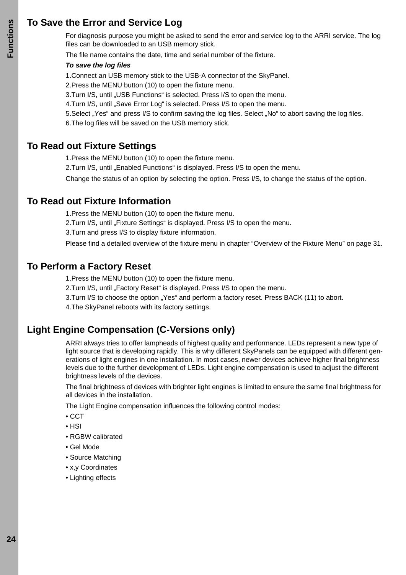## <span id="page-23-0"></span>**To Save the Error and Service Log**

For diagnosis purpose you might be asked to send the error and service log to the ARRI service. The log files can be downloaded to an USB memory stick.

The file name contains the date, time and serial number of the fixture.

#### *To save the log files*

1.Connect an USB memory stick to the USB-A connector of the SkyPanel.

2.Press the MENU button (10) to open the fixture menu.

3. Turn I/S, until "USB Functions" is selected. Press I/S to open the menu.

4. Turn I/S, until "Save Error Log" is selected. Press I/S to open the menu.

5. Select "Yes" and press I/S to confirm saving the log files. Select "No" to abort saving the log files.

6.The log files will be saved on the USB memory stick.

## <span id="page-23-1"></span>**To Read out Fixture Settings**

1.Press the MENU button (10) to open the fixture menu.

2. Turn I/S, until "Enabled Functions" is displayed. Press I/S to open the menu.

Change the status of an option by selecting the option. Press I/S, to change the status of the option.

## <span id="page-23-2"></span>**To Read out Fixture Information**

1.Press the MENU button (10) to open the fixture menu.

2.Turn I/S, until "Fixture Settings" is displayed. Press I/S to open the menu.

3.Turn and press I/S to display fixture information.

Please find a detailed overview of the fixture menu in chapter ["Overview of the Fixture Menu" on page 31](#page-30-0).

## <span id="page-23-3"></span>**To Perform a Factory Reset**

1.Press the MENU button (10) to open the fixture menu.

2. Turn I/S, until "Factory Reset" is displayed. Press I/S to open the menu.

3. Turn I/S to choose the option "Yes" and perform a factory reset. Press BACK (11) to abort.

4.The SkyPanel reboots with its factory settings.

## <span id="page-23-4"></span>**Light Engine Compensation (C-Versions only)**

ARRI always tries to offer lampheads of highest quality and performance. LEDs represent a new type of light source that is developing rapidly. This is why different SkyPanels can be equipped with different generations of light engines in one installation. In most cases, newer devices achieve higher final brightness levels due to the further development of LEDs. Light engine compensation is used to adjust the different brightness levels of the devices.

The final brightness of devices with brighter light engines is limited to ensure the same final brightness for all devices in the installation.

The Light Engine compensation influences the following control modes:

- CCT
- HSI
- RGBW calibrated
- Gel Mode
- Source Matching
- x,y Coordinates
- Lighting effects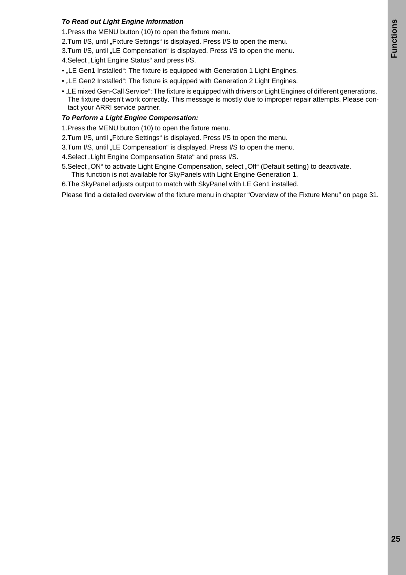#### *To Read out Light Engine Information*

- 1.Press the MENU button (10) to open the fixture menu.
- 2.Turn I/S, until "Fixture Settings" is displayed. Press I/S to open the menu.
- 3.Turn I/S, until "LE Compensation" is displayed. Press I/S to open the menu.

4. Select "Light Engine Status" and press I/S.

- "LE Gen1 Installed": The fixture is equipped with Generation 1 Light Engines.
- "LE Gen2 Installed": The fixture is equipped with Generation 2 Light Engines.
- "LE mixed Gen-Call Service": The fixture is equipped with drivers or Light Engines of different generations. The fixture doesn't work correctly. This message is mostly due to improper repair attempts. Please contact your ARRI service partner.

#### *To Perform a Light Engine Compensation:*

- 1.Press the MENU button (10) to open the fixture menu.
- 2. Turn I/S, until "Fixture Settings" is displayed. Press I/S to open the menu.
- 3. Turn I/S, until "LE Compensation" is displayed. Press I/S to open the menu.
- 4. Select "Light Engine Compensation State" and press I/S.
- 5. Select "ON" to activate Light Engine Compensation, select "Off" (Default setting) to deactivate. This function is not available for SkyPanels with Light Engine Generation 1.
- 6.The SkyPanel adjusts output to match with SkyPanel with LE Gen1 installed.

Please find a detailed overview of the fixture menu in chapter ["Overview of the Fixture Menu" on page 31.](#page-30-0)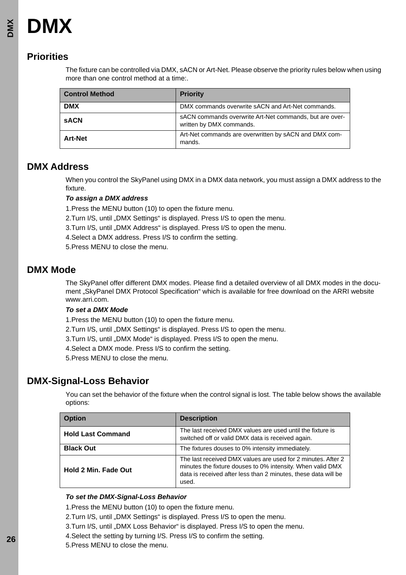## <span id="page-25-1"></span><span id="page-25-0"></span>**Priorities**

The fixture can be controlled via DMX, sACN or Art-Net. Please observe the priority rules below when using more than one control method at a time:.

| <b>Control Method</b> | <b>Priority</b>                                                                     |
|-----------------------|-------------------------------------------------------------------------------------|
| <b>DMX</b>            | DMX commands overwrite sACN and Art-Net commands.                                   |
| <b>SACN</b>           | sACN commands overwrite Art-Net commands, but are over-<br>written by DMX commands. |
| <b>Art-Net</b>        | Art-Net commands are overwritten by sACN and DMX com-<br>mands.                     |

## <span id="page-25-2"></span>**DMX Address**

When you control the SkyPanel using DMX in a DMX data network, you must assign a DMX address to the fixture.

#### *To assign a DMX address*

1.Press the MENU button (10) to open the fixture menu.

2. Turn I/S, until "DMX Settings" is displayed. Press I/S to open the menu.

3. Turn I/S, until "DMX Address" is displayed. Press I/S to open the menu.

4.Select a DMX address. Press I/S to confirm the setting.

5.Press MENU to close the menu.

## <span id="page-25-3"></span>**DMX Mode**

The SkyPanel offer different DMX modes. Please find a detailed overview of all DMX modes in the document "SkyPanel DMX Protocol Specification" which is available for free download on the ARRI website www.arri.com.

#### *To set a DMX Mode*

1.Press the MENU button (10) to open the fixture menu.

2.Turn I/S, until "DMX Settings" is displayed. Press I/S to open the menu.

3.Turn I/S, until "DMX Mode" is displayed. Press I/S to open the menu.

4.Select a DMX mode. Press I/S to confirm the setting.

5.Press MENU to close the menu.

## <span id="page-25-4"></span>**DMX-Signal-Loss Behavior**

You can set the behavior of the fixture when the control signal is lost. The table below shows the available options:

| <b>Option</b>               | <b>Description</b>                                                                                                                                                                                    |
|-----------------------------|-------------------------------------------------------------------------------------------------------------------------------------------------------------------------------------------------------|
| <b>Hold Last Command</b>    | The last received DMX values are used until the fixture is<br>switched off or valid DMX data is received again.                                                                                       |
| <b>Black Out</b>            | The fixtures douses to 0% intensity immediately.                                                                                                                                                      |
| <b>Hold 2 Min. Fade Out</b> | The last received DMX values are used for 2 minutes. After 2<br>minutes the fixture douses to 0% intensity. When valid DMX<br>data is received after less than 2 minutes, these data will be<br>used. |

#### *To set the DMX-Signal-Loss Behavior*

1.Press the MENU button (10) to open the fixture menu.

2. Turn I/S, until "DMX Settings" is displayed. Press I/S to open the menu.

3. Turn I/S, until "DMX Loss Behavior" is displayed. Press I/S to open the menu.

- 4.Select the setting by turning I/S. Press I/S to confirm the setting.
- 5.Press MENU to close the menu.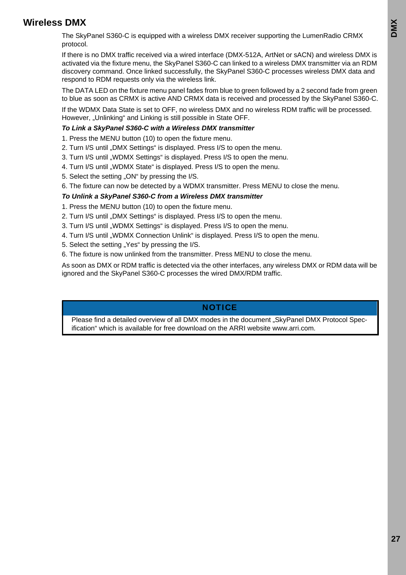## <span id="page-26-0"></span>**Wireless DMX**

The SkyPanel S360-C is equipped with a wireless DMX receiver supporting the LumenRadio CRMX protocol.

If there is no DMX traffic received via a wired interface (DMX-512A, ArtNet or sACN) and wireless DMX is activated via the fixture menu, the SkyPanel S360-C can linked to a wireless DMX transmitter via an RDM discovery command. Once linked successfully, the SkyPanel S360-C processes wireless DMX data and respond to RDM requests only via the wireless link.

The DATA LED on the fixture menu panel fades from blue to green followed by a 2 second fade from green to blue as soon as CRMX is active AND CRMX data is received and processed by the SkyPanel S360-C.

If the WDMX Data State is set to OFF, no wireless DMX and no wireless RDM traffic will be processed. However, "Unlinking" and Linking is still possible in State OFF.

#### *To Link a SkyPanel S360-C with a Wireless DMX transmitter*

- 1. Press the MENU button (10) to open the fixture menu.
- 2. Turn I/S until ..DMX Settings" is displayed. Press I/S to open the menu.
- 3. Turn I/S until "WDMX Settings" is displayed. Press I/S to open the menu.
- 4. Turn I/S until "WDMX State" is displayed. Press I/S to open the menu.
- 5. Select the setting ... ON" by pressing the I/S.
- 6. The fixture can now be detected by a WDMX transmitter. Press MENU to close the menu.

#### *To Unlink a SkyPanel S360-C from a Wireless DMX transmitter*

- 1. Press the MENU button (10) to open the fixture menu.
- 2. Turn I/S until "DMX Settings" is displayed. Press I/S to open the menu.
- 3. Turn I/S until "WDMX Settings" is displayed. Press I/S to open the menu.
- 4. Turn I/S until "WDMX Connection Unlink" is displayed. Press I/S to open the menu.
- 5. Select the setting "Yes" by pressing the I/S.
- 6. The fixture is now unlinked from the transmitter. Press MENU to close the menu.

As soon as DMX or RDM traffic is detected via the other interfaces, any wireless DMX or RDM data will be ignored and the SkyPanel S360-C processes the wired DMX/RDM traffic.

#### **NOTICE**

Please find a detailed overview of all DMX modes in the document "SkyPanel DMX Protocol Specification" which is available for free download on the ARRI website www.arri.com.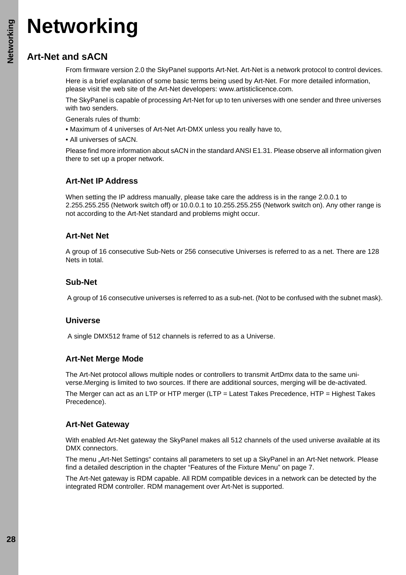## <span id="page-27-4"></span>**Networking**

## **Art-Net and sACN**

From firmware version 2.0 the SkyPanel supports Art-Net. Art-Net is a network protocol to control devices.

Here is a brief explanation of some basic terms being used by Art-Net. For more detailed information, please visit the web site of the Art-Net developers: www.artisticlicence.com.

The SkyPanel is capable of processing Art-Net for up to ten universes with one sender and three universes with two senders.

- Generals rules of thumb:
- Maximum of 4 universes of Art-Net Art-DMX unless you really have to,
- All universes of sACN.

Please find more information about sACN in the standard ANSI E1.31. Please observe all information given there to set up a proper network.

## <span id="page-27-0"></span>**Art-Net IP Address**

When setting the IP address manually, please take care the address is in the range 2.0.0.1 to 2.255.255.255 (Network switch off) or 10.0.0.1 to 10.255.255.255 (Network switch on). Any other range is not according to the Art-Net standard and problems might occur.

## <span id="page-27-1"></span>**Art-Net Net**

A group of 16 consecutive Sub-Nets or 256 consecutive Universes is referred to as a net. There are 128 Nets in total.

## <span id="page-27-2"></span>**Sub-Net**

A group of 16 consecutive universes is referred to as a sub-net. (Not to be confused with the subnet mask).

## <span id="page-27-3"></span>**Universe**

A single DMX512 frame of 512 channels is referred to as a Universe.

## <span id="page-27-5"></span>**Art-Net Merge Mode**

The Art-Net protocol allows multiple nodes or controllers to transmit ArtDmx data to the same universe.Merging is limited to two sources. If there are additional sources, merging will be de-activated.

The Merger can act as an LTP or HTP merger (LTP = Latest Takes Precedence, HTP = Highest Takes Precedence).

## <span id="page-27-6"></span>**Art-Net Gateway**

With enabled Art-Net gateway the SkyPanel makes all 512 channels of the used universe available at its DMX connectors.

The menu "Art-Net Settings" contains all parameters to set up a SkyPanel in an Art-Net network. Please find a detailed description in the chapter ["Features of the Fixture Menu" on page 7](#page-6-2).

The Art-Net gateway is RDM capable. All RDM compatible devices in a network can be detected by the integrated RDM controller. RDM management over Art-Net is supported.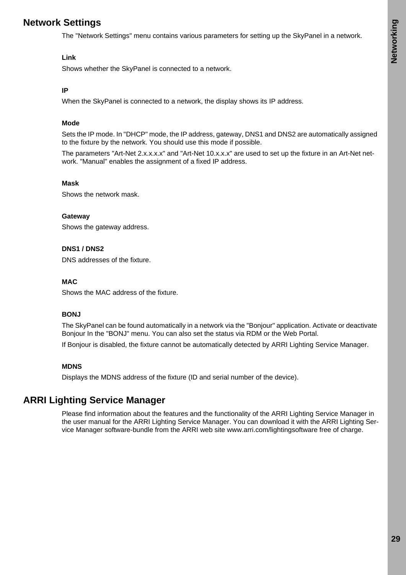## <span id="page-28-0"></span>**Network Settings**

The "Network Settings" menu contains various parameters for setting up the SkyPanel in a network.

#### **Link**

Shows whether the SkyPanel is connected to a network.

#### **IP**

When the SkyPanel is connected to a network, the display shows its IP address.

#### **Mode**

Sets the IP mode. In "DHCP" mode, the IP address, gateway, DNS1 and DNS2 are automatically assigned to the fixture by the network. You should use this mode if possible.

The parameters "Art-Net 2.x.x.x.x" and "Art-Net 10.x.x.x" are used to set up the fixture in an Art-Net network. "Manual" enables the assignment of a fixed IP address.

#### **Mask**

Shows the network mask.

#### **Gateway**

Shows the gateway address.

#### **DNS1 / DNS2**

DNS addresses of the fixture.

#### **MAC**

Shows the MAC address of the fixture.

#### **BONJ**

The SkyPanel can be found automatically in a network via the "Bonjour" application. Activate or deactivate Bonjour In the "BONJ" menu. You can also set the status via RDM or the Web Portal.

If Bonjour is disabled, the fixture cannot be automatically detected by ARRI Lighting Service Manager.

#### **MDNS**

Displays the MDNS address of the fixture (ID and serial number of the device).

## <span id="page-28-1"></span>**ARRI Lighting Service Manager**

Please find information about the features and the functionality of the ARRI Lighting Service Manager in the user manual for the ARRI Lighting Service Manager. You can download it with the ARRI Lighting Service Manager software-bundle from the ARRI web site www.arri.com/lightingsoftware free of charge.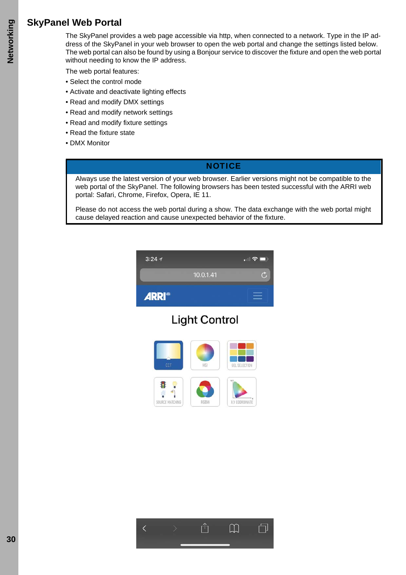## <span id="page-29-0"></span>**SkyPanel Web Portal**

The SkyPanel provides a web page accessible via http, when connected to a network. Type in the IP address of the SkyPanel in your web browser to open the web portal and change the settings listed below. The web portal can also be found by using a Bonjour service to discover the fixture and open the web portal without needing to know the IP address.

The web portal features:

- Select the control mode
- Activate and deactivate lighting effects
- Read and modify DMX settings
- Read and modify network settings
- Read and modify fixture settings
- Read the fixture state
- DMX Monitor

#### **NOTICE**

Always use the latest version of your web browser. Earlier versions might not be compatible to the web portal of the SkyPanel. The following browsers has been tested successful with the ARRI web portal: Safari, Chrome, Firefox, Opera, IE 11.

Please do not access the web portal during a show. The data exchange with the web portal might cause delayed reaction and cause unexpected behavior of the fixture.



## **Light Control**



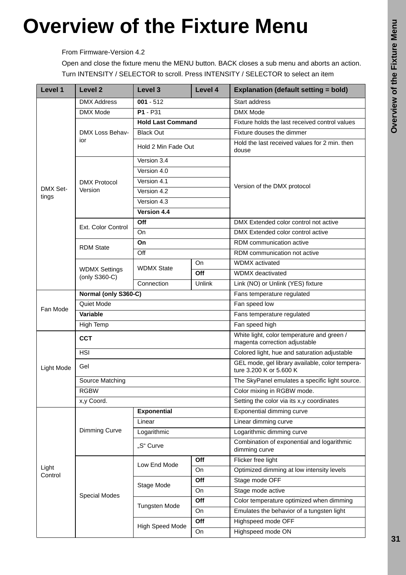## <span id="page-30-0"></span>**Overview of the Fixture Menu**

From Firmware-Version 4.2

Open and close the fixture menu the MENU button. BACK closes a sub menu and aborts an action. Turn INTENSITY / SELECTOR to scroll. Press INTENSITY / SELECTOR to select an item

| Level 1                  | Level <sub>2</sub>                    | Level 3<br>Level 4       |                                                                            | <b>Explanation (default setting = bold)</b>                                 |  |
|--------------------------|---------------------------------------|--------------------------|----------------------------------------------------------------------------|-----------------------------------------------------------------------------|--|
|                          | <b>DMX Address</b>                    | $001 - 512$              |                                                                            | <b>Start address</b>                                                        |  |
|                          | <b>DMX Mode</b>                       | $P1 - P31$               |                                                                            | DMX Mode                                                                    |  |
|                          |                                       | <b>Hold Last Command</b> |                                                                            | Fixture holds the last received control values                              |  |
|                          | DMX Loss Behav-                       | <b>Black Out</b>         |                                                                            | Fixture douses the dimmer                                                   |  |
|                          | ior                                   | Hold 2 Min Fade Out      |                                                                            | Hold the last received values for 2 min. then<br>douse                      |  |
|                          |                                       | Version 3.4              |                                                                            |                                                                             |  |
|                          |                                       | Version 4.0              |                                                                            |                                                                             |  |
|                          | <b>DMX Protocol</b>                   | Version 4.1              |                                                                            | Version of the DMX protocol                                                 |  |
| <b>DMX Set-</b><br>tings | Version                               | Version 4.2              |                                                                            |                                                                             |  |
|                          |                                       | Version 4.3              |                                                                            |                                                                             |  |
|                          |                                       | Version 4.4              |                                                                            |                                                                             |  |
|                          | Ext. Color Control                    | Off                      |                                                                            | DMX Extended color control not active                                       |  |
|                          |                                       | On                       |                                                                            | DMX Extended color control active                                           |  |
|                          | <b>RDM State</b>                      | On                       |                                                                            | RDM communication active                                                    |  |
|                          |                                       | Off                      |                                                                            | RDM communication not active                                                |  |
|                          |                                       | <b>WDMX State</b>        | On                                                                         | <b>WDMX</b> activated                                                       |  |
|                          | <b>WDMX Settings</b><br>(only S360-C) |                          | Off                                                                        | WDMX deactivated                                                            |  |
|                          |                                       | Connection               | Unlink                                                                     | Link (NO) or Unlink (YES) fixture                                           |  |
|                          | Normal (only S360-C)                  |                          |                                                                            | Fans temperature regulated                                                  |  |
| Fan Mode                 | Quiet Mode                            |                          |                                                                            | Fan speed low                                                               |  |
|                          | Variable                              |                          |                                                                            | Fans temperature regulated                                                  |  |
|                          | High Temp                             |                          | Fan speed high                                                             |                                                                             |  |
|                          | <b>CCT</b>                            |                          |                                                                            | White light, color temperature and green /<br>magenta correction adjustable |  |
|                          | <b>HSI</b>                            |                          | Colored light, hue and saturation adjustable                               |                                                                             |  |
| Light Mode               | Gel                                   |                          | GEL mode, gel library available, color tempera-<br>ture 3.200 K or 5.600 K |                                                                             |  |
|                          | Source Matching                       |                          | The SkyPanel emulates a specific light source.                             |                                                                             |  |
|                          | <b>RGBW</b>                           |                          | Color mixing in RGBW mode.                                                 |                                                                             |  |
|                          | x,y Coord.                            |                          | Setting the color via its x,y coordinates                                  |                                                                             |  |
|                          |                                       | <b>Exponential</b>       |                                                                            | Exponential dimming curve                                                   |  |
| Light                    | Dimming Curve                         | Linear                   |                                                                            | Linear dimming curve                                                        |  |
|                          |                                       | Logarithmic              |                                                                            | Logarithmic dimming curve                                                   |  |
|                          |                                       | "S" Curve                |                                                                            | Combination of exponential and logarithmic<br>dimming curve                 |  |
|                          |                                       | Low End Mode             | Off                                                                        | Flicker free light                                                          |  |
|                          |                                       |                          | On                                                                         | Optimized dimming at low intensity levels                                   |  |
| Control                  |                                       | Stage Mode               | Off                                                                        | Stage mode OFF                                                              |  |
|                          | <b>Special Modes</b>                  |                          | On                                                                         | Stage mode active                                                           |  |
|                          |                                       | <b>Tungsten Mode</b>     | Off                                                                        | Color temperature optimized when dimming                                    |  |
|                          |                                       |                          | On                                                                         | Emulates the behavior of a tungsten light                                   |  |
|                          |                                       | High Speed Mode          | Off                                                                        | Highspeed mode OFF                                                          |  |
|                          |                                       |                          | On                                                                         | Highspeed mode ON                                                           |  |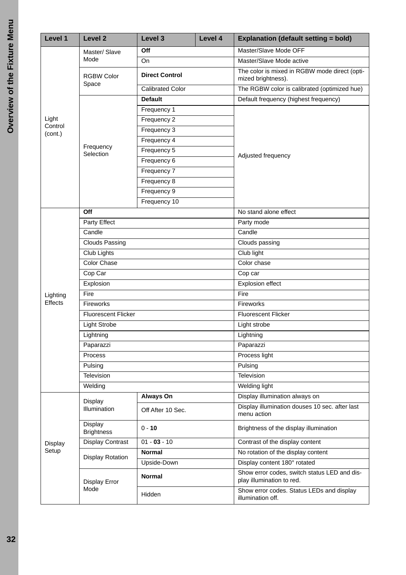| Level 1             | <b>Level 2</b>               | Level 3                 | Level 4                    | <b>Explanation (default setting = bold)</b>                               |  |
|---------------------|------------------------------|-------------------------|----------------------------|---------------------------------------------------------------------------|--|
|                     | Master/ Slave                | Off                     |                            | Master/Slave Mode OFF                                                     |  |
|                     | Mode                         | On                      |                            | Master/Slave Mode active                                                  |  |
|                     | <b>RGBW Color</b><br>Space   | <b>Direct Control</b>   |                            | The color is mixed in RGBW mode direct (opti-<br>mized brightness).       |  |
|                     |                              | <b>Calibrated Color</b> |                            | The RGBW color is calibrated (optimized hue)                              |  |
|                     |                              | <b>Default</b>          |                            | Default frequency (highest frequency)                                     |  |
|                     |                              | Frequency 1             |                            |                                                                           |  |
| Light<br>Control    |                              | Frequency 2             |                            |                                                                           |  |
| (cont.)             |                              | Frequency 3             |                            |                                                                           |  |
|                     | Frequency                    | Frequency 4             |                            | Adjusted frequency                                                        |  |
|                     | Selection                    | Frequency 5             |                            |                                                                           |  |
|                     |                              | Frequency 6             |                            |                                                                           |  |
|                     |                              | Frequency 7             |                            |                                                                           |  |
|                     |                              | Frequency 8             |                            |                                                                           |  |
|                     |                              | Frequency 9             |                            |                                                                           |  |
|                     |                              | Frequency 10            |                            |                                                                           |  |
|                     | Off                          |                         |                            | No stand alone effect                                                     |  |
|                     | <b>Party Effect</b>          |                         |                            | Party mode                                                                |  |
|                     | Candle                       |                         |                            | Candle                                                                    |  |
|                     | <b>Clouds Passing</b>        |                         |                            | Clouds passing                                                            |  |
|                     | Club Lights                  |                         | Club light                 |                                                                           |  |
|                     | <b>Color Chase</b>           |                         | Color chase                |                                                                           |  |
|                     | Cop Car                      |                         |                            | Cop car                                                                   |  |
|                     | Explosion                    |                         |                            | Explosion effect                                                          |  |
| Lighting<br>Effects | Fire                         |                         |                            | Fire                                                                      |  |
|                     | Fireworks                    |                         | Fireworks                  |                                                                           |  |
|                     | <b>Fluorescent Flicker</b>   |                         | <b>Fluorescent Flicker</b> |                                                                           |  |
|                     | <b>Light Strobe</b>          |                         | Light strobe               |                                                                           |  |
|                     | Lightning                    |                         | Lightning                  |                                                                           |  |
|                     | Paparazzi                    |                         | Paparazzi                  |                                                                           |  |
|                     | Process                      |                         |                            | Process light                                                             |  |
|                     | Pulsing                      |                         |                            | Pulsing                                                                   |  |
|                     | Television                   |                         |                            | Television                                                                |  |
|                     | Welding                      |                         | Welding light              |                                                                           |  |
|                     | Display                      | Always On               |                            | Display illumination always on                                            |  |
| Display             | Illumination                 | Off After 10 Sec.       |                            | Display illumination douses 10 sec. after last<br>menu action             |  |
|                     | Display<br><b>Brightness</b> | $0 - 10$                |                            | Brightness of the display illumination                                    |  |
|                     | Display Contrast             | $01 - 03 - 10$          |                            | Contrast of the display content                                           |  |
| Setup               | Display Rotation             | <b>Normal</b>           |                            | No rotation of the display content                                        |  |
|                     |                              | Upside-Down             |                            | Display content 180° rotated                                              |  |
|                     | Display Error                | <b>Normal</b>           |                            | Show error codes, switch status LED and dis-<br>play illumination to red. |  |
|                     | Mode                         | Hidden                  |                            | Show error codes. Status LEDs and display<br>illumination off.            |  |
|                     |                              |                         |                            |                                                                           |  |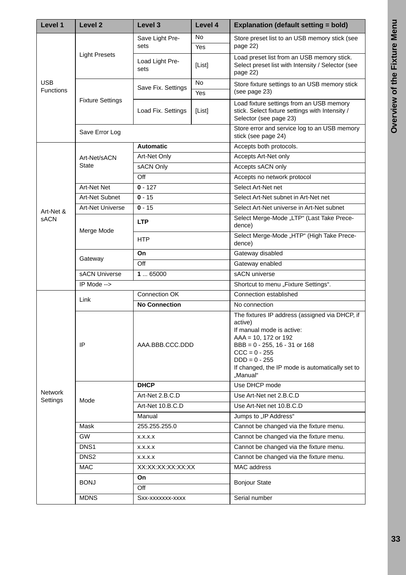| Level 1                        | Level <sub>2</sub>      | Level 3<br>Level 4                |                         | <b>Explanation (default setting = bold)</b>                                                                                                                                                                                                              |  |
|--------------------------------|-------------------------|-----------------------------------|-------------------------|----------------------------------------------------------------------------------------------------------------------------------------------------------------------------------------------------------------------------------------------------------|--|
| <b>USB</b><br><b>Functions</b> | <b>Light Presets</b>    | Save Light Pre-                   | <b>No</b>               | Store preset list to an USB memory stick (see                                                                                                                                                                                                            |  |
|                                |                         | sets                              | Yes                     | page 22)                                                                                                                                                                                                                                                 |  |
|                                |                         | Load Light Pre-<br>[List]<br>sets |                         | Load preset list from an USB memory stick.<br>Select preset list with Intensity / Selector (see<br>page 22)                                                                                                                                              |  |
|                                |                         | Save Fix. Settings                | <b>No</b><br><b>Yes</b> | Store fixture settings to an USB memory stick<br>(see page 23)                                                                                                                                                                                           |  |
|                                | <b>Fixture Settings</b> | Load Fix. Settings                | [List]                  | Load fixture settings from an USB memory<br>stick. Select fixture settings with Intensity /<br>Selector (see page 23)                                                                                                                                    |  |
|                                | Save Error Log          |                                   |                         | Store error and service log to an USB memory<br>stick (see page 24)                                                                                                                                                                                      |  |
|                                |                         | <b>Automatic</b>                  |                         | Accepts both protocols.                                                                                                                                                                                                                                  |  |
|                                | Art-Net/sACN            | Art-Net Only                      |                         | Accepts Art-Net only                                                                                                                                                                                                                                     |  |
|                                | <b>State</b>            | sACN Only                         |                         | Accepts sACN only                                                                                                                                                                                                                                        |  |
|                                |                         | Off                               |                         | Accepts no network protocol                                                                                                                                                                                                                              |  |
|                                | <b>Art-Net Net</b>      | $0 - 127$                         |                         | Select Art-Net net                                                                                                                                                                                                                                       |  |
|                                | Art-Net Subnet          | $0 - 15$                          |                         | Select Art-Net subnet in Art-Net net                                                                                                                                                                                                                     |  |
| Art-Net &                      | <b>Art-Net Universe</b> | $0 - 15$                          |                         | Select Art-Net universe in Art-Net subnet                                                                                                                                                                                                                |  |
| <b>SACN</b>                    |                         | <b>LTP</b>                        |                         | Select Merge-Mode "LTP" (Last Take Prece-<br>dence)                                                                                                                                                                                                      |  |
|                                | Merge Mode              | <b>HTP</b>                        |                         | Select Merge-Mode "HTP" (High Take Prece-<br>dence)                                                                                                                                                                                                      |  |
|                                |                         | On                                |                         | Gateway disabled                                                                                                                                                                                                                                         |  |
|                                | Gateway<br>Off          |                                   | Gateway enabled         |                                                                                                                                                                                                                                                          |  |
|                                | sACN Universe           | 165000                            |                         | sACN universe                                                                                                                                                                                                                                            |  |
|                                | IP Mode -->             |                                   |                         | Shortcut to menu "Fixture Settings".                                                                                                                                                                                                                     |  |
|                                |                         | Connection OK                     |                         | Connection established                                                                                                                                                                                                                                   |  |
|                                | Link                    | <b>No Connection</b>              |                         | No connection                                                                                                                                                                                                                                            |  |
|                                | IP                      | AAA.BBB.CCC.DDD                   |                         | The fixtures IP address (assigned via DHCP, if<br>active)<br>If manual mode is active:<br>$AAA = 10, 172$ or 192<br>$BBB = 0 - 255, 16 - 31$ or 168<br>$CCC = 0 - 255$<br>$DDD = 0 - 255$<br>If changed, the IP mode is automatically set to<br>"Manual" |  |
| Network                        |                         | <b>DHCP</b>                       |                         | Use DHCP mode                                                                                                                                                                                                                                            |  |
| Settings                       | Mode                    | Art-Net 2.B.C.D                   |                         | Use Art-Net net 2.B.C.D                                                                                                                                                                                                                                  |  |
|                                |                         | Art-Net 10.B.C.D                  |                         | Use Art-Net net 10.B.C.D                                                                                                                                                                                                                                 |  |
|                                |                         | Manual                            |                         | Jumps to "IP Address"                                                                                                                                                                                                                                    |  |
|                                | Mask                    | 255.255.255.0                     |                         | Cannot be changed via the fixture menu.                                                                                                                                                                                                                  |  |
|                                | <b>GW</b>               | X.X.X.X                           |                         | Cannot be changed via the fixture menu.                                                                                                                                                                                                                  |  |
|                                | DNS <sub>1</sub>        | X.X.X.X                           |                         | Cannot be changed via the fixture menu.                                                                                                                                                                                                                  |  |
|                                | DNS <sub>2</sub>        | X.X.X.X                           |                         | Cannot be changed via the fixture menu.                                                                                                                                                                                                                  |  |
|                                | <b>MAC</b>              | XX:XX:XX:XX:XX:XX                 |                         | MAC address                                                                                                                                                                                                                                              |  |
|                                | <b>BONJ</b>             | On<br>Off                         |                         | <b>Bonjour State</b>                                                                                                                                                                                                                                     |  |
|                                | <b>MDNS</b>             | SXX-XXXXXXX-XXXX                  |                         | Serial number                                                                                                                                                                                                                                            |  |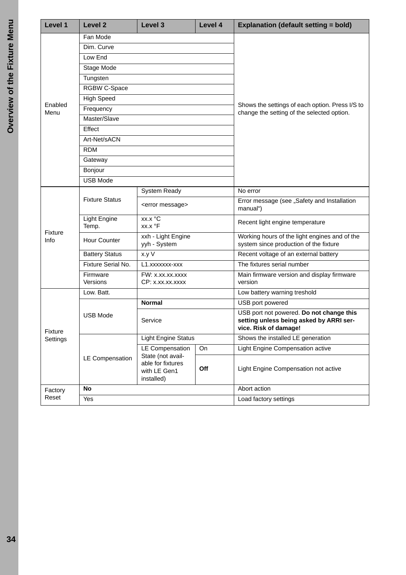| Level 1             | <b>Level 2</b>               | Level 3<br>Level 4                                                   |                                                                                               | <b>Explanation (default setting = bold)</b>                                                                  |  |
|---------------------|------------------------------|----------------------------------------------------------------------|-----------------------------------------------------------------------------------------------|--------------------------------------------------------------------------------------------------------------|--|
|                     | Fan Mode                     |                                                                      |                                                                                               |                                                                                                              |  |
|                     | Dim. Curve                   |                                                                      |                                                                                               |                                                                                                              |  |
|                     | Low End                      |                                                                      |                                                                                               |                                                                                                              |  |
|                     | Stage Mode                   |                                                                      |                                                                                               |                                                                                                              |  |
|                     | Tungsten                     |                                                                      |                                                                                               |                                                                                                              |  |
|                     | RGBW C-Space                 |                                                                      |                                                                                               |                                                                                                              |  |
|                     | <b>High Speed</b>            |                                                                      |                                                                                               |                                                                                                              |  |
| Enabled<br>Menu     | Frequency                    |                                                                      | Shows the settings of each option. Press I/S to<br>change the setting of the selected option. |                                                                                                              |  |
|                     | Master/Slave                 |                                                                      |                                                                                               |                                                                                                              |  |
|                     | Effect                       |                                                                      |                                                                                               |                                                                                                              |  |
|                     | Art-Net/sACN                 |                                                                      |                                                                                               |                                                                                                              |  |
|                     | <b>RDM</b>                   |                                                                      |                                                                                               |                                                                                                              |  |
|                     | Gateway                      |                                                                      |                                                                                               |                                                                                                              |  |
|                     | Bonjour                      |                                                                      |                                                                                               |                                                                                                              |  |
|                     | <b>USB Mode</b>              |                                                                      |                                                                                               |                                                                                                              |  |
|                     |                              | <b>System Ready</b>                                                  |                                                                                               | No error                                                                                                     |  |
|                     | <b>Fixture Status</b>        | <error message=""></error>                                           |                                                                                               | Error message (see "Safety and Installation<br>manual")                                                      |  |
|                     | <b>Light Engine</b><br>Temp. | xx.x °C<br>xx.x °F                                                   |                                                                                               | Recent light engine temperature                                                                              |  |
| Fixture<br>Info     | Hour Counter                 | xxh - Light Engine<br>yyh - System                                   |                                                                                               | Working hours of the light engines and of the<br>system since production of the fixture                      |  |
|                     | <b>Battery Status</b>        | x.y V                                                                |                                                                                               | Recent voltage of an external battery                                                                        |  |
|                     | Fixture Serial No.           | L1.xxxxxxx-xxx                                                       |                                                                                               | The fixtures serial number                                                                                   |  |
|                     | Firmware<br>Versions         | FW: x.xx.xx.xxxx<br>CP: x.xx.xx.xxxx                                 |                                                                                               | Main firmware version and display firmware<br>version                                                        |  |
|                     | Low. Batt.                   |                                                                      | Low battery warning treshold                                                                  |                                                                                                              |  |
| Fixture<br>Settings |                              | <b>Normal</b>                                                        |                                                                                               | USB port powered                                                                                             |  |
|                     | <b>USB Mode</b>              | Service                                                              |                                                                                               | USB port not powered. Do not change this<br>setting unless being asked by ARRI ser-<br>vice. Risk of damage! |  |
|                     |                              | <b>Light Engine Status</b>                                           |                                                                                               | Shows the installed LE generation                                                                            |  |
|                     |                              | <b>LE Compensation</b>                                               | On                                                                                            | Light Engine Compensation active                                                                             |  |
|                     | LE Compensation              | State (not avail-<br>able for fixtures<br>with LE Gen1<br>installed) | Off                                                                                           | Light Engine Compensation not active                                                                         |  |
| Factory             | No                           |                                                                      |                                                                                               | Abort action                                                                                                 |  |
| Reset               | Yes                          |                                                                      |                                                                                               | Load factory settings                                                                                        |  |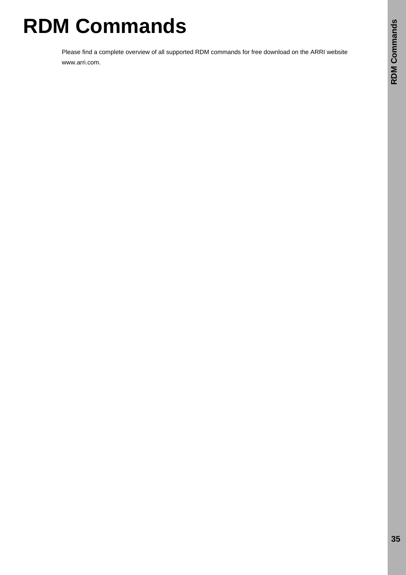# <span id="page-34-0"></span>**RDM Commands**

Please find a complete overview of all supported RDM commands for free download on the ARRI website www.arri.com.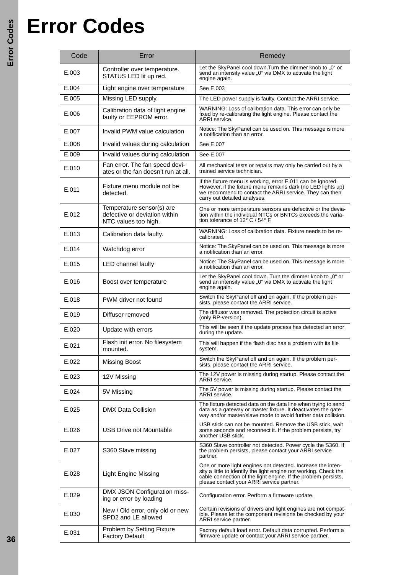## <span id="page-35-0"></span>**Error Codes**

| Code  | Error                                                                              | Remedy                                                                                                                                                                                                                                          |  |  |
|-------|------------------------------------------------------------------------------------|-------------------------------------------------------------------------------------------------------------------------------------------------------------------------------------------------------------------------------------------------|--|--|
| E.003 | Controller over temperature.<br>STATUS LED lit up red.                             | Let the SkyPanel cool down. Turn the dimmer knob to "0" or<br>send an intensity value "0" via DMX to activate the light<br>engine again.                                                                                                        |  |  |
| E.004 | Light engine over temperature                                                      | See E.003                                                                                                                                                                                                                                       |  |  |
| E.005 | Missing LED supply.                                                                | The LED power supply is faulty. Contact the ARRI service.                                                                                                                                                                                       |  |  |
| E.006 | Calibration data of light engine<br>faulty or EEPROM error.                        | WARNING: Loss of calibration data. This error can only be<br>fixed by re-calibrating the light engine. Please contact the<br>ARRI service.                                                                                                      |  |  |
| E.007 | Invalid PWM value calculation                                                      | Notice: The SkyPanel can be used on. This message is more<br>a notification than an error.                                                                                                                                                      |  |  |
| E.008 | Invalid values during calculation                                                  | See E.007                                                                                                                                                                                                                                       |  |  |
| E.009 | Invalid values during calculation                                                  | See E.007                                                                                                                                                                                                                                       |  |  |
| E.010 | Fan error. The fan speed devi-<br>ates or the fan doesn't run at all.              | All mechanical tests or repairs may only be carried out by a<br>trained service technician.                                                                                                                                                     |  |  |
| E.011 | Fixture menu module not be<br>detected.                                            | If the fixture menu is working, error E.011 can be ignored.<br>However, if the fixture menu remains dark (no LED lights up)<br>we recommend to contact the ARRI service. They can then<br>carry out detailed analyses.                          |  |  |
| E.012 | Temperature sensor(s) are<br>defective or deviation within<br>NTC values too high. | One or more temperature sensors are defective or the devia-<br>tion within the individual NTCs or BNTCs exceeds the varia-<br>tion tolerance of 12° C / 54° F.                                                                                  |  |  |
| E.013 | Calibration data faulty.                                                           | WARNING: Loss of calibration data. Fixture needs to be re-<br>calibrated.                                                                                                                                                                       |  |  |
| E.014 | Watchdog error                                                                     | Notice: The SkyPanel can be used on. This message is more<br>a notification than an error.                                                                                                                                                      |  |  |
| E.015 | <b>LED channel faulty</b>                                                          | Notice: The SkyPanel can be used on. This message is more<br>a notification than an error.                                                                                                                                                      |  |  |
| E.016 | Boost over temperature                                                             | Let the SkyPanel cool down. Turn the dimmer knob to "0" or<br>send an intensity value "0" via DMX to activate the light<br>engine again.                                                                                                        |  |  |
| E.018 | PWM driver not found                                                               | Switch the SkyPanel off and on again. If the problem per-<br>sists, please contact the ARRI service.                                                                                                                                            |  |  |
| E.019 | Diffuser removed                                                                   | The diffusor was removed. The protection circuit is active<br>(only RP-version).                                                                                                                                                                |  |  |
| E.020 | Update with errors                                                                 | This will be seen if the update process has detected an error<br>during the update.                                                                                                                                                             |  |  |
| E.021 | Flash init error. No filesystem<br>mounted.                                        | This will happen if the flash disc has a problem with its file<br>system.                                                                                                                                                                       |  |  |
| E.022 | <b>Missing Boost</b>                                                               | Switch the SkyPanel off and on again. If the problem per-<br>sists, please contact the ARRI service.                                                                                                                                            |  |  |
| E.023 | 12V Missing                                                                        | The 12V power is missing during startup. Please contact the<br>ARRI service.                                                                                                                                                                    |  |  |
| E.024 | 5V Missing                                                                         | The 5V power is missing during startup. Please contact the<br>ARRI service.                                                                                                                                                                     |  |  |
| E.025 | DMX Data Collision                                                                 | The fixture detected data on the data line when trying to send<br>data as a gateway or master fixture. It deactivates the gate-<br>way and/or master/slave mode to avoid further data collision.                                                |  |  |
| E.026 | USB Drive not Mountable                                                            | USB stick can not be mounted. Remove the USB stick, wait<br>some seconds and reconnect it. If the problem persists, try<br>another USB stick.                                                                                                   |  |  |
| E.027 | S360 Slave missing                                                                 | S360 Slave controller not detected. Power cycle the S360. If<br>the problem persists, please contact your ARRI service<br>partner.                                                                                                              |  |  |
| E.028 | <b>Light Engine Missing</b>                                                        | One or more light engines not detected. Increase the inten-<br>sity a little to identify the light engine not working. Check the<br>cable connection of the light engine. If the problem persists,<br>please contact your ARRI service partner. |  |  |
| E.029 | DMX JSON Configuration miss-<br>ing or error by loading                            | Configuration error. Perform a firmware update.                                                                                                                                                                                                 |  |  |
| E.030 | New / Old error, only old or new<br>SPD2 and LE allowed                            | Certain revisions of drivers and light engines are not compat-<br>ible. Please let the component revisions be checked by your<br>ARRI service partner.                                                                                          |  |  |
| E.031 | Problem by Setting Fixture<br><b>Factory Default</b>                               | Factory default load error. Default data corrupted. Perform a<br>firmware update or contact your ARRI service partner.                                                                                                                          |  |  |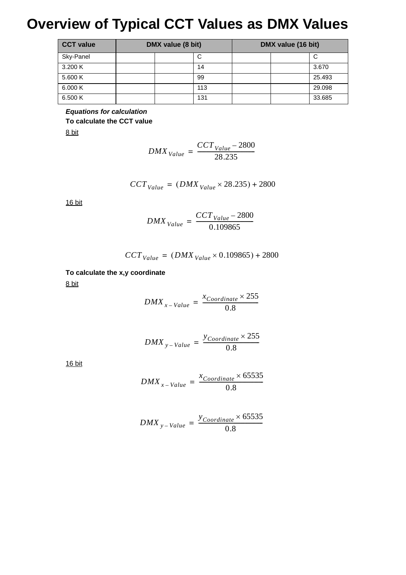## <span id="page-36-0"></span>**Overview of Typical CCT Values as DMX Values**

| <b>CCT value</b> | DMX value (8 bit) |     | DMX value (16 bit) |        |
|------------------|-------------------|-----|--------------------|--------|
| Sky-Panel        |                   | C   |                    | С      |
| 3.200 K          |                   | 14  |                    | 3.670  |
| 5.600 K          |                   | 99  |                    | 25.493 |
| 6,000K           |                   | 113 |                    | 29.098 |
| 6.500 K          |                   | 131 |                    | 33.685 |

*Equations for calculation* **To calculate the CCT value**

8 bit

$$
DMX_{Value} = \frac{CCT_{Value} - 2800}{28.235}
$$

$$
CCT_{Value} = (DMX_{Value} \times 28.235) + 2800
$$

16 bit

$$
DMX_{Value} = \frac{CCT_{Value} - 2800}{0.109865}
$$

$$
CCT_{Value} = (DMX_{Value} \times 0.109865) + 2800
$$

**To calculate the x,y coordinate** 8 bit

$$
DMX_{x-Value} = \frac{x_{Coordinate} \times 255}{0.8}
$$

$$
DMX_{y-Value} = \frac{y_{Coordinate} \times 255}{0.8}
$$

16 bit

$$
DMX_{x-Value} = \frac{x_{Coordinate} \times 65535}{0.8}
$$

$$
DMX_{y-Value} = \frac{y_{Coordinate} \times 65535}{0.8}
$$